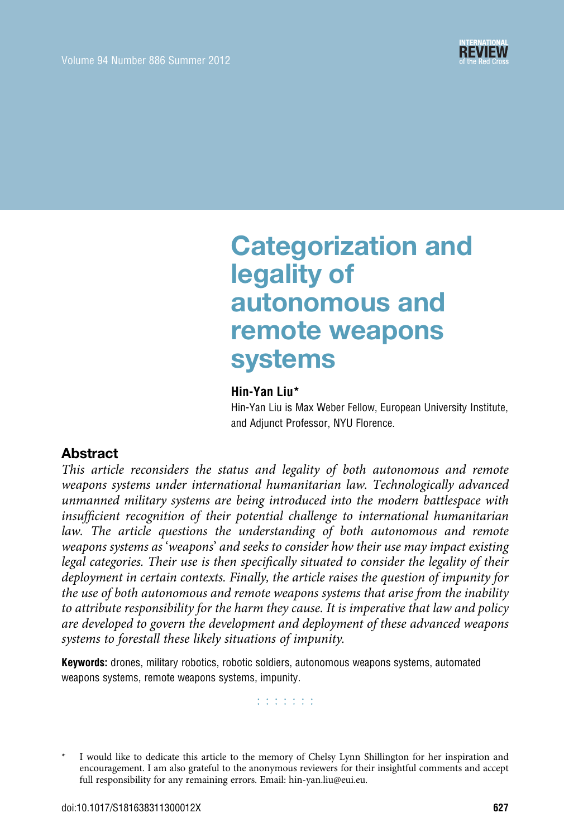

# Categorization and legality of autonomous and remote weapons systems

#### Hin-Yan Liu\*

Hin-Yan Liu is Max Weber Fellow, European University Institute, and Adjunct Professor, NYU Florence.

## Abstract

This article reconsiders the status and legality of both autonomous and remote weapons systems under international humanitarian law. Technologically advanced unmanned military systems are being introduced into the modern battlespace with insufficient recognition of their potential challenge to international humanitarian law. The article questions the understanding of both autonomous and remote weapons systems as 'weapons' and seeks to consider how their use may impact existing legal categories. Their use is then specifically situated to consider the legality of their deployment in certain contexts. Finally, the article raises the question of impunity for the use of both autonomous and remote weapons systems that arise from the inability to attribute responsibility for the harm they cause. It is imperative that law and policy are developed to govern the development and deployment of these advanced weapons systems to forestall these likely situations of impunity.

Keywords: drones, military robotics, robotic soldiers, autonomous weapons systems, automated weapons systems, remote weapons systems, impunity.

first first

I would like to dedicate this article to the memory of Chelsy Lynn Shillington for her inspiration and encouragement. I am also grateful to the anonymous reviewers for their insightful comments and accept full responsibility for any remaining errors. Email: hin-yan.liu@eui.eu.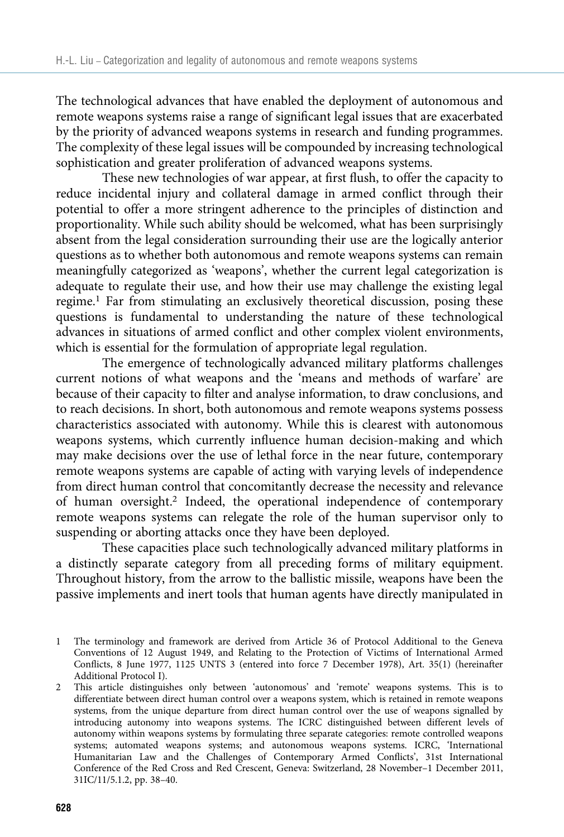The technological advances that have enabled the deployment of autonomous and remote weapons systems raise a range of significant legal issues that are exacerbated by the priority of advanced weapons systems in research and funding programmes. The complexity of these legal issues will be compounded by increasing technological sophistication and greater proliferation of advanced weapons systems.

These new technologies of war appear, at first flush, to offer the capacity to reduce incidental injury and collateral damage in armed conflict through their potential to offer a more stringent adherence to the principles of distinction and proportionality. While such ability should be welcomed, what has been surprisingly absent from the legal consideration surrounding their use are the logically anterior questions as to whether both autonomous and remote weapons systems can remain meaningfully categorized as 'weapons', whether the current legal categorization is adequate to regulate their use, and how their use may challenge the existing legal regime.<sup>1</sup> Far from stimulating an exclusively theoretical discussion, posing these questions is fundamental to understanding the nature of these technological advances in situations of armed conflict and other complex violent environments, which is essential for the formulation of appropriate legal regulation.

The emergence of technologically advanced military platforms challenges current notions of what weapons and the 'means and methods of warfare' are because of their capacity to filter and analyse information, to draw conclusions, and to reach decisions. In short, both autonomous and remote weapons systems possess characteristics associated with autonomy. While this is clearest with autonomous weapons systems, which currently influence human decision-making and which may make decisions over the use of lethal force in the near future, contemporary remote weapons systems are capable of acting with varying levels of independence from direct human control that concomitantly decrease the necessity and relevance of human oversight.2 Indeed, the operational independence of contemporary remote weapons systems can relegate the role of the human supervisor only to suspending or aborting attacks once they have been deployed.

These capacities place such technologically advanced military platforms in a distinctly separate category from all preceding forms of military equipment. Throughout history, from the arrow to the ballistic missile, weapons have been the passive implements and inert tools that human agents have directly manipulated in

<sup>1</sup> The terminology and framework are derived from Article 36 of Protocol Additional to the Geneva Conventions of 12 August 1949, and Relating to the Protection of Victims of International Armed Conflicts, 8 June 1977, 1125 UNTS 3 (entered into force 7 December 1978), Art. 35(1) (hereinafter Additional Protocol I).

<sup>2</sup> This article distinguishes only between 'autonomous' and 'remote' weapons systems. This is to differentiate between direct human control over a weapons system, which is retained in remote weapons systems, from the unique departure from direct human control over the use of weapons signalled by introducing autonomy into weapons systems. The ICRC distinguished between different levels of autonomy within weapons systems by formulating three separate categories: remote controlled weapons systems; automated weapons systems; and autonomous weapons systems. ICRC, 'International Humanitarian Law and the Challenges of Contemporary Armed Conflicts', 31st International Conference of the Red Cross and Red Crescent, Geneva: Switzerland, 28 November–1 December 2011, 31IC/11/5.1.2, pp. 38–40.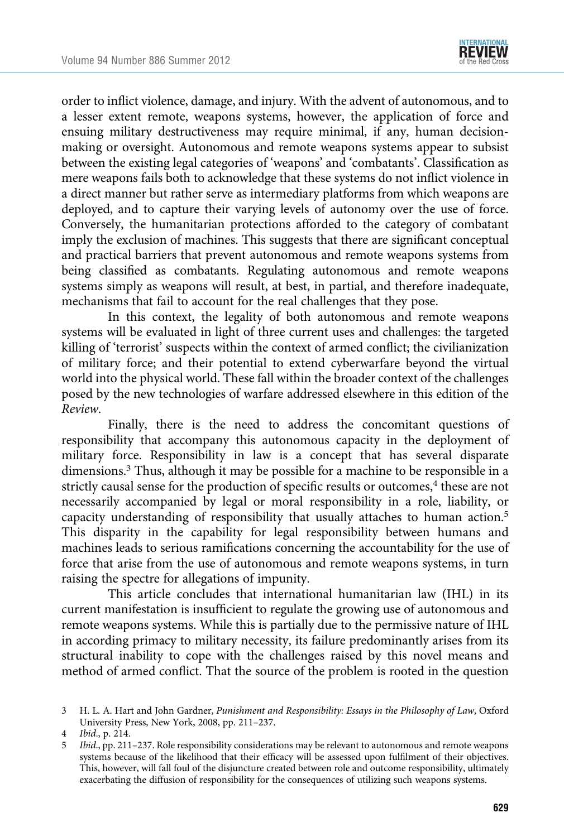

order to inflict violence, damage, and injury. With the advent of autonomous, and to a lesser extent remote, weapons systems, however, the application of force and ensuing military destructiveness may require minimal, if any, human decisionmaking or oversight. Autonomous and remote weapons systems appear to subsist between the existing legal categories of 'weapons' and 'combatants'. Classification as mere weapons fails both to acknowledge that these systems do not inflict violence in a direct manner but rather serve as intermediary platforms from which weapons are deployed, and to capture their varying levels of autonomy over the use of force. Conversely, the humanitarian protections afforded to the category of combatant imply the exclusion of machines. This suggests that there are significant conceptual and practical barriers that prevent autonomous and remote weapons systems from being classified as combatants. Regulating autonomous and remote weapons systems simply as weapons will result, at best, in partial, and therefore inadequate, mechanisms that fail to account for the real challenges that they pose.

In this context, the legality of both autonomous and remote weapons systems will be evaluated in light of three current uses and challenges: the targeted killing of 'terrorist' suspects within the context of armed conflict; the civilianization of military force; and their potential to extend cyberwarfare beyond the virtual world into the physical world. These fall within the broader context of the challenges posed by the new technologies of warfare addressed elsewhere in this edition of the Review.

Finally, there is the need to address the concomitant questions of responsibility that accompany this autonomous capacity in the deployment of military force. Responsibility in law is a concept that has several disparate dimensions.3 Thus, although it may be possible for a machine to be responsible in a strictly causal sense for the production of specific results or outcomes,<sup>4</sup> these are not necessarily accompanied by legal or moral responsibility in a role, liability, or capacity understanding of responsibility that usually attaches to human action.5 This disparity in the capability for legal responsibility between humans and machines leads to serious ramifications concerning the accountability for the use of force that arise from the use of autonomous and remote weapons systems, in turn raising the spectre for allegations of impunity.

This article concludes that international humanitarian law (IHL) in its current manifestation is insufficient to regulate the growing use of autonomous and remote weapons systems. While this is partially due to the permissive nature of IHL in according primacy to military necessity, its failure predominantly arises from its structural inability to cope with the challenges raised by this novel means and method of armed conflict. That the source of the problem is rooted in the question

<sup>3</sup> H. L. A. Hart and John Gardner, Punishment and Responsibility: Essays in the Philosophy of Law, Oxford University Press, New York, 2008, pp. 211–237.

<sup>4</sup> Ibid., p. 214.

<sup>5</sup> Ibid., pp. 211–237. Role responsibility considerations may be relevant to autonomous and remote weapons systems because of the likelihood that their efficacy will be assessed upon fulfilment of their objectives. This, however, will fall foul of the disjuncture created between role and outcome responsibility, ultimately exacerbating the diffusion of responsibility for the consequences of utilizing such weapons systems.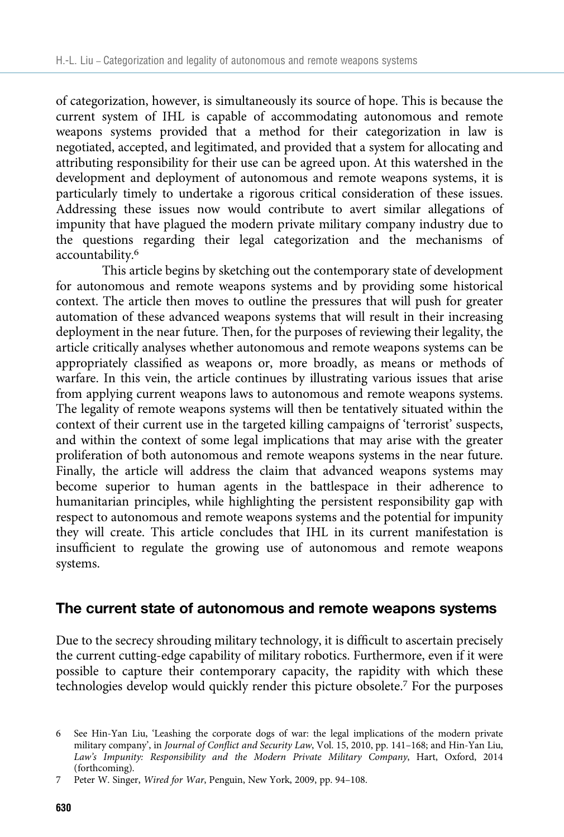of categorization, however, is simultaneously its source of hope. This is because the current system of IHL is capable of accommodating autonomous and remote weapons systems provided that a method for their categorization in law is negotiated, accepted, and legitimated, and provided that a system for allocating and attributing responsibility for their use can be agreed upon. At this watershed in the development and deployment of autonomous and remote weapons systems, it is particularly timely to undertake a rigorous critical consideration of these issues. Addressing these issues now would contribute to avert similar allegations of impunity that have plagued the modern private military company industry due to the questions regarding their legal categorization and the mechanisms of accountability.<sup>6</sup>

This article begins by sketching out the contemporary state of development for autonomous and remote weapons systems and by providing some historical context. The article then moves to outline the pressures that will push for greater automation of these advanced weapons systems that will result in their increasing deployment in the near future. Then, for the purposes of reviewing their legality, the article critically analyses whether autonomous and remote weapons systems can be appropriately classified as weapons or, more broadly, as means or methods of warfare. In this vein, the article continues by illustrating various issues that arise from applying current weapons laws to autonomous and remote weapons systems. The legality of remote weapons systems will then be tentatively situated within the context of their current use in the targeted killing campaigns of 'terrorist' suspects, and within the context of some legal implications that may arise with the greater proliferation of both autonomous and remote weapons systems in the near future. Finally, the article will address the claim that advanced weapons systems may become superior to human agents in the battlespace in their adherence to humanitarian principles, while highlighting the persistent responsibility gap with respect to autonomous and remote weapons systems and the potential for impunity they will create. This article concludes that IHL in its current manifestation is insufficient to regulate the growing use of autonomous and remote weapons systems.

#### The current state of autonomous and remote weapons systems

Due to the secrecy shrouding military technology, it is difficult to ascertain precisely the current cutting-edge capability of military robotics. Furthermore, even if it were possible to capture their contemporary capacity, the rapidity with which these technologies develop would quickly render this picture obsolete.7 For the purposes

<sup>6</sup> See Hin-Yan Liu, 'Leashing the corporate dogs of war: the legal implications of the modern private military company', in Journal of Conflict and Security Law, Vol. 15, 2010, pp. 141–168; and Hin-Yan Liu, Law's Impunity: Responsibility and the Modern Private Military Company, Hart, Oxford, 2014 (forthcoming).

<sup>7</sup> Peter W. Singer, Wired for War, Penguin, New York, 2009, pp. 94–108.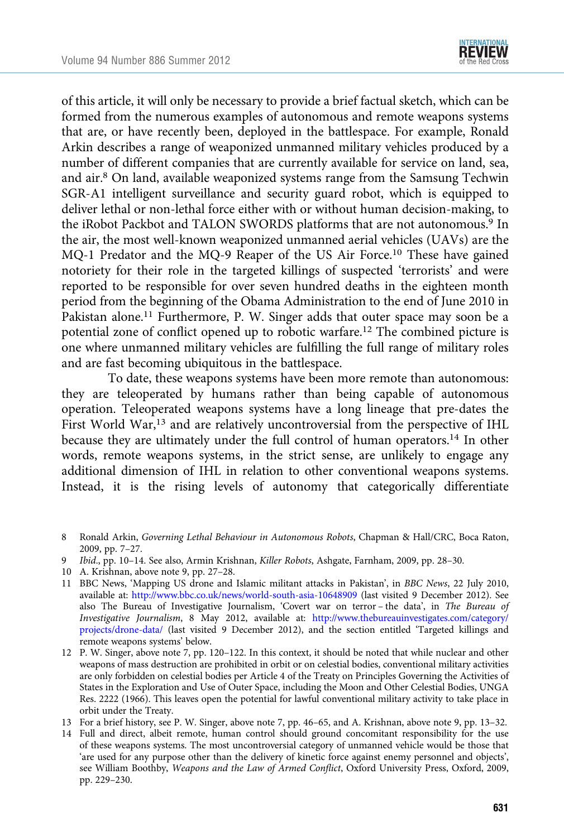

of this article, it will only be necessary to provide a brief factual sketch, which can be formed from the numerous examples of autonomous and remote weapons systems that are, or have recently been, deployed in the battlespace. For example, Ronald Arkin describes a range of weaponized unmanned military vehicles produced by a number of different companies that are currently available for service on land, sea, and air.8 On land, available weaponized systems range from the Samsung Techwin SGR-A1 intelligent surveillance and security guard robot, which is equipped to deliver lethal or non-lethal force either with or without human decision-making, to the iRobot Packbot and TALON SWORDS platforms that are not autonomous.<sup>9</sup> In the air, the most well-known weaponized unmanned aerial vehicles (UAVs) are the MQ-1 Predator and the MQ-9 Reaper of the US Air Force.<sup>10</sup> These have gained notoriety for their role in the targeted killings of suspected 'terrorists' and were reported to be responsible for over seven hundred deaths in the eighteen month period from the beginning of the Obama Administration to the end of June 2010 in Pakistan alone.<sup>11</sup> Furthermore, P. W. Singer adds that outer space may soon be a potential zone of conflict opened up to robotic warfare.12 The combined picture is one where unmanned military vehicles are fulfilling the full range of military roles and are fast becoming ubiquitous in the battlespace.

To date, these weapons systems have been more remote than autonomous: they are teleoperated by humans rather than being capable of autonomous operation. Teleoperated weapons systems have a long lineage that pre-dates the First World War,<sup>13</sup> and are relatively uncontroversial from the perspective of IHL because they are ultimately under the full control of human operators.<sup>14</sup> In other words, remote weapons systems, in the strict sense, are unlikely to engage any additional dimension of IHL in relation to other conventional weapons systems. Instead, it is the rising levels of autonomy that categorically differentiate

- 8 Ronald Arkin, Governing Lethal Behaviour in Autonomous Robots, Chapman & Hall/CRC, Boca Raton, 2009, pp. 7–27.
- 9 Ibid., pp. 10–14. See also, Armin Krishnan, Killer Robots, Ashgate, Farnham, 2009, pp. 28–30.
- 10 A. Krishnan, above note 9, pp. 27–28.
- 11 BBC News, 'Mapping US drone and Islamic militant attacks in Pakistan', in BBC News, 22 July 2010, available at: <http://www.bbc.co.uk/news/world-south-asia-10648909> (last visited 9 December 2012). See also The Bureau of Investigative Journalism, 'Covert war on terror – the data', in The Bureau of Investigative Journalism, 8 May 2012, available at: [http://www.thebureauinvestigates.com/category/](http://www.thebureauinvestigates.com/category/projects/drone-data/) [projects/drone-data/](http://www.thebureauinvestigates.com/category/projects/drone-data/) (last visited 9 December 2012), and the section entitled 'Targeted killings and remote weapons systems' below.
- 12 P. W. Singer, above note 7, pp. 120–122. In this context, it should be noted that while nuclear and other weapons of mass destruction are prohibited in orbit or on celestial bodies, conventional military activities are only forbidden on celestial bodies per Article 4 of the Treaty on Principles Governing the Activities of States in the Exploration and Use of Outer Space, including the Moon and Other Celestial Bodies, UNGA Res. 2222 (1966). This leaves open the potential for lawful conventional military activity to take place in orbit under the Treaty.
- 13 For a brief history, see P. W. Singer, above note 7, pp. 46–65, and A. Krishnan, above note 9, pp. 13–32.
- 14 Full and direct, albeit remote, human control should ground concomitant responsibility for the use of these weapons systems. The most uncontroversial category of unmanned vehicle would be those that 'are used for any purpose other than the delivery of kinetic force against enemy personnel and objects', see William Boothby, Weapons and the Law of Armed Conflict, Oxford University Press, Oxford, 2009, pp. 229–230.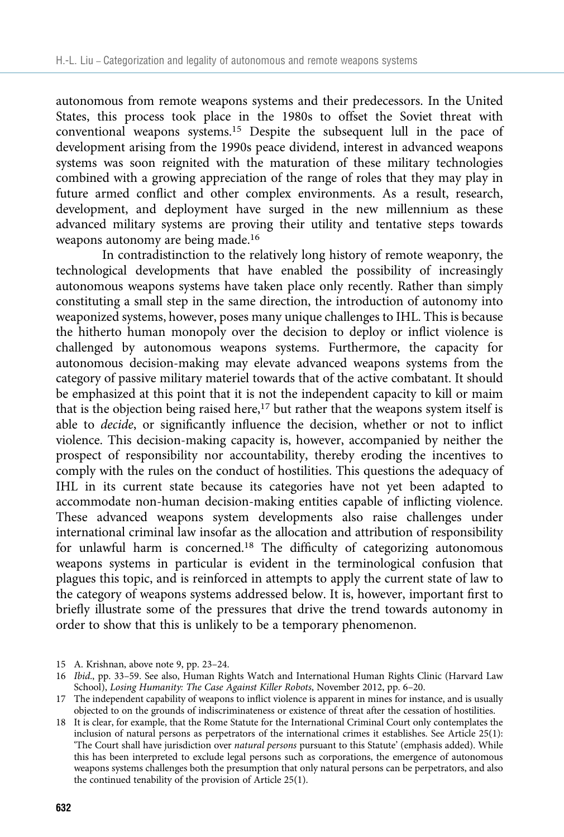autonomous from remote weapons systems and their predecessors. In the United States, this process took place in the 1980s to offset the Soviet threat with conventional weapons systems.15 Despite the subsequent lull in the pace of development arising from the 1990s peace dividend, interest in advanced weapons systems was soon reignited with the maturation of these military technologies combined with a growing appreciation of the range of roles that they may play in future armed conflict and other complex environments. As a result, research, development, and deployment have surged in the new millennium as these advanced military systems are proving their utility and tentative steps towards weapons autonomy are being made.16

In contradistinction to the relatively long history of remote weaponry, the technological developments that have enabled the possibility of increasingly autonomous weapons systems have taken place only recently. Rather than simply constituting a small step in the same direction, the introduction of autonomy into weaponized systems, however, poses many unique challenges to IHL. This is because the hitherto human monopoly over the decision to deploy or inflict violence is challenged by autonomous weapons systems. Furthermore, the capacity for autonomous decision-making may elevate advanced weapons systems from the category of passive military materiel towards that of the active combatant. It should be emphasized at this point that it is not the independent capacity to kill or maim that is the objection being raised here,<sup>17</sup> but rather that the weapons system itself is able to decide, or significantly influence the decision, whether or not to inflict violence. This decision-making capacity is, however, accompanied by neither the prospect of responsibility nor accountability, thereby eroding the incentives to comply with the rules on the conduct of hostilities. This questions the adequacy of IHL in its current state because its categories have not yet been adapted to accommodate non-human decision-making entities capable of inflicting violence. These advanced weapons system developments also raise challenges under international criminal law insofar as the allocation and attribution of responsibility for unlawful harm is concerned.18 The difficulty of categorizing autonomous weapons systems in particular is evident in the terminological confusion that plagues this topic, and is reinforced in attempts to apply the current state of law to the category of weapons systems addressed below. It is, however, important first to briefly illustrate some of the pressures that drive the trend towards autonomy in order to show that this is unlikely to be a temporary phenomenon.

<sup>15</sup> A. Krishnan, above note 9, pp. 23–24.

<sup>16</sup> Ibid., pp. 33–59. See also, Human Rights Watch and International Human Rights Clinic (Harvard Law School), Losing Humanity: The Case Against Killer Robots, November 2012, pp. 6–20.

<sup>17</sup> The independent capability of weapons to inflict violence is apparent in mines for instance, and is usually objected to on the grounds of indiscriminateness or existence of threat after the cessation of hostilities.

<sup>18</sup> It is clear, for example, that the Rome Statute for the International Criminal Court only contemplates the inclusion of natural persons as perpetrators of the international crimes it establishes. See Article 25(1): 'The Court shall have jurisdiction over natural persons pursuant to this Statute' (emphasis added). While this has been interpreted to exclude legal persons such as corporations, the emergence of autonomous weapons systems challenges both the presumption that only natural persons can be perpetrators, and also the continued tenability of the provision of Article 25(1).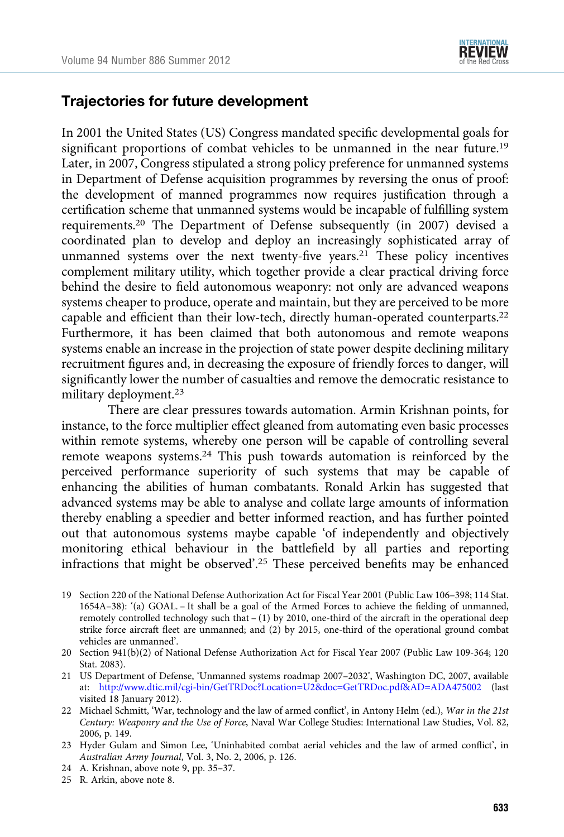

#### Trajectories for future development

In 2001 the United States (US) Congress mandated specific developmental goals for significant proportions of combat vehicles to be unmanned in the near future.<sup>19</sup> Later, in 2007, Congress stipulated a strong policy preference for unmanned systems in Department of Defense acquisition programmes by reversing the onus of proof: the development of manned programmes now requires justification through a certification scheme that unmanned systems would be incapable of fulfilling system requirements.20 The Department of Defense subsequently (in 2007) devised a coordinated plan to develop and deploy an increasingly sophisticated array of unmanned systems over the next twenty-five years.<sup>21</sup> These policy incentives complement military utility, which together provide a clear practical driving force behind the desire to field autonomous weaponry: not only are advanced weapons systems cheaper to produce, operate and maintain, but they are perceived to be more capable and efficient than their low-tech, directly human-operated counterparts.22 Furthermore, it has been claimed that both autonomous and remote weapons systems enable an increase in the projection of state power despite declining military recruitment figures and, in decreasing the exposure of friendly forces to danger, will significantly lower the number of casualties and remove the democratic resistance to military deployment.23

There are clear pressures towards automation. Armin Krishnan points, for instance, to the force multiplier effect gleaned from automating even basic processes within remote systems, whereby one person will be capable of controlling several remote weapons systems.24 This push towards automation is reinforced by the perceived performance superiority of such systems that may be capable of enhancing the abilities of human combatants. Ronald Arkin has suggested that advanced systems may be able to analyse and collate large amounts of information thereby enabling a speedier and better informed reaction, and has further pointed out that autonomous systems maybe capable 'of independently and objectively monitoring ethical behaviour in the battlefield by all parties and reporting infractions that might be observed'. <sup>25</sup> These perceived benefits may be enhanced

- 19 Section 220 of the National Defense Authorization Act for Fiscal Year 2001 (Public Law 106–398; 114 Stat. 1654A–38): '(a) GOAL. – It shall be a goal of the Armed Forces to achieve the fielding of unmanned, remotely controlled technology such that – (1) by 2010, one-third of the aircraft in the operational deep strike force aircraft fleet are unmanned; and (2) by 2015, one-third of the operational ground combat vehicles are unmanned'.
- 20 Section 941(b)(2) of National Defense Authorization Act for Fiscal Year 2007 (Public Law 109-364; 120 Stat. 2083).
- 21 US Department of Defense, 'Unmanned systems roadmap 2007–2032', Washington DC, 2007, available at: <http://www.dtic.mil/cgi-bin/GetTRDoc?Location=U2&doc=GetTRDoc.pdf&AD=ADA475002> (last visited 18 January 2012).
- 22 Michael Schmitt, 'War, technology and the law of armed conflict', in Antony Helm (ed.), War in the 21st Century: Weaponry and the Use of Force, Naval War College Studies: International Law Studies, Vol. 82, 2006, p. 149.
- 23 Hyder Gulam and Simon Lee, 'Uninhabited combat aerial vehicles and the law of armed conflict', in Australian Army Journal, Vol. 3, No. 2, 2006, p. 126.
- 24 A. Krishnan, above note 9, pp. 35–37.
- 25 R. Arkin, above note 8.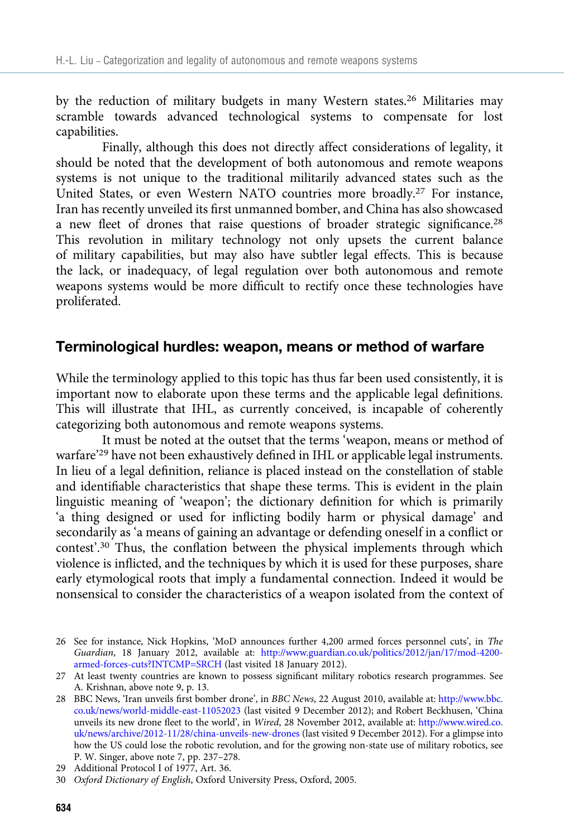by the reduction of military budgets in many Western states.26 Militaries may scramble towards advanced technological systems to compensate for lost capabilities.

Finally, although this does not directly affect considerations of legality, it should be noted that the development of both autonomous and remote weapons systems is not unique to the traditional militarily advanced states such as the United States, or even Western NATO countries more broadly.<sup>27</sup> For instance, Iran has recently unveiled its first unmanned bomber, and China has also showcased a new fleet of drones that raise questions of broader strategic significance.<sup>28</sup> This revolution in military technology not only upsets the current balance of military capabilities, but may also have subtler legal effects. This is because the lack, or inadequacy, of legal regulation over both autonomous and remote weapons systems would be more difficult to rectify once these technologies have proliferated.

#### Terminological hurdles: weapon, means or method of warfare

While the terminology applied to this topic has thus far been used consistently, it is important now to elaborate upon these terms and the applicable legal definitions. This will illustrate that IHL, as currently conceived, is incapable of coherently categorizing both autonomous and remote weapons systems.

It must be noted at the outset that the terms 'weapon, means or method of warfare' <sup>29</sup> have not been exhaustively defined in IHL or applicable legal instruments. In lieu of a legal definition, reliance is placed instead on the constellation of stable and identifiable characteristics that shape these terms. This is evident in the plain linguistic meaning of 'weapon'; the dictionary definition for which is primarily 'a thing designed or used for inflicting bodily harm or physical damage' and secondarily as 'a means of gaining an advantage or defending oneself in a conflict or contest'.<sup>30</sup> Thus, the conflation between the physical implements through which violence is inflicted, and the techniques by which it is used for these purposes, share early etymological roots that imply a fundamental connection. Indeed it would be nonsensical to consider the characteristics of a weapon isolated from the context of

<sup>26</sup> See for instance, Nick Hopkins, 'MoD announces further 4,200 armed forces personnel cuts', in The Guardian, 18 January 2012, available at: [http://www.guardian.co.uk/politics/2012/jan/17/mod-4200](http://www.guardian.co.uk/politics/2012/jan/17/mod-4200-armed-forces-cuts?INTCMP=SRCH) [armed-forces-cuts?INTCMP=SRCH](http://www.guardian.co.uk/politics/2012/jan/17/mod-4200-armed-forces-cuts?INTCMP=SRCH) (last visited 18 January 2012).

<sup>27</sup> At least twenty countries are known to possess significant military robotics research programmes. See A. Krishnan, above note 9, p. 13.

<sup>28</sup> BBC News, 'Iran unveils first bomber drone', in BBC News, 22 August 2010, available at: [http://www.bbc.](http://www.bbc.co.uk/news/world-middle-east-11052023) [co.uk/news/world-middle-east-11052023](http://www.bbc.co.uk/news/world-middle-east-11052023) (last visited 9 December 2012); and Robert Beckhusen, 'China unveils its new drone fleet to the world', in Wired, 28 November 2012, available at: [http://www.wired.co.](http://www.wired.co.uk/news/archive/2012-11/28/china-unveils-new-drones) [uk/news/archive/2012-11/28/china-unveils-new-drones](http://www.wired.co.uk/news/archive/2012-11/28/china-unveils-new-drones) (last visited 9 December 2012). For a glimpse into how the US could lose the robotic revolution, and for the growing non-state use of military robotics, see P. W. Singer, above note 7, pp. 237–278.

<sup>29</sup> Additional Protocol I of 1977, Art. 36.

<sup>30</sup> Oxford Dictionary of English, Oxford University Press, Oxford, 2005.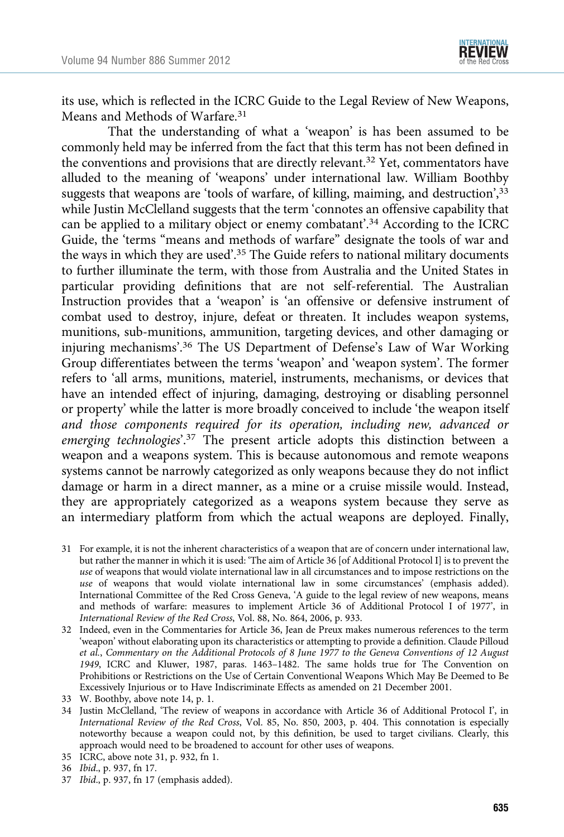

its use, which is reflected in the ICRC Guide to the Legal Review of New Weapons, Means and Methods of Warfare.<sup>31</sup>

That the understanding of what a 'weapon' is has been assumed to be commonly held may be inferred from the fact that this term has not been defined in the conventions and provisions that are directly relevant.<sup>32</sup> Yet, commentators have alluded to the meaning of 'weapons' under international law. William Boothby suggests that weapons are 'tools of warfare, of killing, maiming, and destruction',<sup>33</sup> while Justin McClelland suggests that the term 'connotes an offensive capability that can be applied to a military object or enemy combatant'.<sup>34</sup> According to the ICRC Guide, the 'terms "means and methods of warfare" designate the tools of war and the ways in which they are used'.<sup>35</sup> The Guide refers to national military documents to further illuminate the term, with those from Australia and the United States in particular providing definitions that are not self-referential. The Australian Instruction provides that a 'weapon' is 'an offensive or defensive instrument of combat used to destroy, injure, defeat or threaten. It includes weapon systems, munitions, sub-munitions, ammunition, targeting devices, and other damaging or injuring mechanisms'. <sup>36</sup> The US Department of Defense's Law of War Working Group differentiates between the terms 'weapon' and 'weapon system'. The former refers to 'all arms, munitions, materiel, instruments, mechanisms, or devices that have an intended effect of injuring, damaging, destroying or disabling personnel or property' while the latter is more broadly conceived to include 'the weapon itself and those components required for its operation, including new, advanced or emerging technologies'.<sup>37</sup> The present article adopts this distinction between a weapon and a weapons system. This is because autonomous and remote weapons systems cannot be narrowly categorized as only weapons because they do not inflict damage or harm in a direct manner, as a mine or a cruise missile would. Instead, they are appropriately categorized as a weapons system because they serve as an intermediary platform from which the actual weapons are deployed. Finally,

- 31 For example, it is not the inherent characteristics of a weapon that are of concern under international law, but rather the manner in which it is used: 'The aim of Article 36 [of Additional Protocol I] is to prevent the use of weapons that would violate international law in all circumstances and to impose restrictions on the use of weapons that would violate international law in some circumstances' (emphasis added). International Committee of the Red Cross Geneva, 'A guide to the legal review of new weapons, means and methods of warfare: measures to implement Article 36 of Additional Protocol I of 1977', in International Review of the Red Cross, Vol. 88, No. 864, 2006, p. 933.
- 32 Indeed, even in the Commentaries for Article 36, Jean de Preux makes numerous references to the term 'weapon' without elaborating upon its characteristics or attempting to provide a definition. Claude Pilloud et al., Commentary on the Additional Protocols of 8 June 1977 to the Geneva Conventions of 12 August 1949, ICRC and Kluwer, 1987, paras. 1463–1482. The same holds true for The Convention on Prohibitions or Restrictions on the Use of Certain Conventional Weapons Which May Be Deemed to Be Excessively Injurious or to Have Indiscriminate Effects as amended on 21 December 2001.
- 33 W. Boothby, above note 14, p. 1.
- 34 Justin McClelland, 'The review of weapons in accordance with Article 36 of Additional Protocol I', in International Review of the Red Cross, Vol. 85, No. 850, 2003, p. 404. This connotation is especially noteworthy because a weapon could not, by this definition, be used to target civilians. Clearly, this approach would need to be broadened to account for other uses of weapons.
- 35 ICRC, above note 31, p. 932, fn 1.
- 36 Ibid., p. 937, fn 17.
- 37 Ibid., p. 937, fn 17 (emphasis added).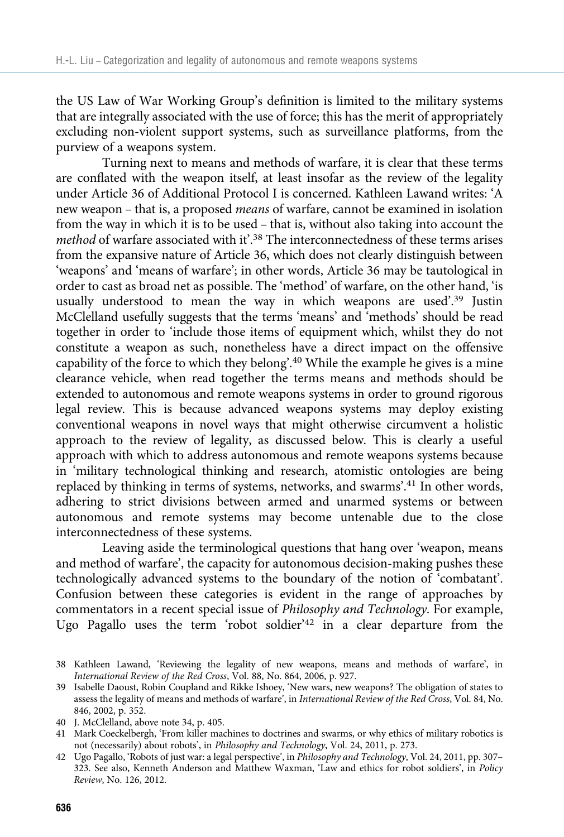the US Law of War Working Group's definition is limited to the military systems that are integrally associated with the use of force; this has the merit of appropriately excluding non-violent support systems, such as surveillance platforms, from the purview of a weapons system.

Turning next to means and methods of warfare, it is clear that these terms are conflated with the weapon itself, at least insofar as the review of the legality under Article 36 of Additional Protocol I is concerned. Kathleen Lawand writes: 'A new weapon – that is, a proposed means of warfare, cannot be examined in isolation from the way in which it is to be used – that is, without also taking into account the method of warfare associated with it'.<sup>38</sup> The interconnectedness of these terms arises from the expansive nature of Article 36, which does not clearly distinguish between 'weapons' and 'means of warfare'; in other words, Article 36 may be tautological in order to cast as broad net as possible. The 'method' of warfare, on the other hand, 'is usually understood to mean the way in which weapons are used'.<sup>39</sup> Justin McClelland usefully suggests that the terms 'means' and 'methods' should be read together in order to 'include those items of equipment which, whilst they do not constitute a weapon as such, nonetheless have a direct impact on the offensive capability of the force to which they belong'. <sup>40</sup> While the example he gives is a mine clearance vehicle, when read together the terms means and methods should be extended to autonomous and remote weapons systems in order to ground rigorous legal review. This is because advanced weapons systems may deploy existing conventional weapons in novel ways that might otherwise circumvent a holistic approach to the review of legality, as discussed below. This is clearly a useful approach with which to address autonomous and remote weapons systems because in 'military technological thinking and research, atomistic ontologies are being replaced by thinking in terms of systems, networks, and swarms'. <sup>41</sup> In other words, adhering to strict divisions between armed and unarmed systems or between autonomous and remote systems may become untenable due to the close interconnectedness of these systems.

Leaving aside the terminological questions that hang over 'weapon, means and method of warfare', the capacity for autonomous decision-making pushes these technologically advanced systems to the boundary of the notion of 'combatant'. Confusion between these categories is evident in the range of approaches by commentators in a recent special issue of Philosophy and Technology. For example, Ugo Pagallo uses the term 'robot soldier' <sup>42</sup> in a clear departure from the

42 Ugo Pagallo, 'Robots of just war: a legal perspective', in Philosophy and Technology, Vol. 24, 2011, pp. 307– 323. See also, Kenneth Anderson and Matthew Waxman, 'Law and ethics for robot soldiers', in Policy Review, No. 126, 2012.

<sup>38</sup> Kathleen Lawand, 'Reviewing the legality of new weapons, means and methods of warfare', in International Review of the Red Cross, Vol. 88, No. 864, 2006, p. 927.

<sup>39</sup> Isabelle Daoust, Robin Coupland and Rikke Ishoey, 'New wars, new weapons? The obligation of states to assess the legality of means and methods of warfare', in International Review of the Red Cross, Vol. 84, No. 846, 2002, p. 352.

<sup>40</sup> J. McClelland, above note 34, p. 405.

<sup>41</sup> Mark Coeckelbergh, 'From killer machines to doctrines and swarms, or why ethics of military robotics is not (necessarily) about robots', in Philosophy and Technology, Vol. 24, 2011, p. 273.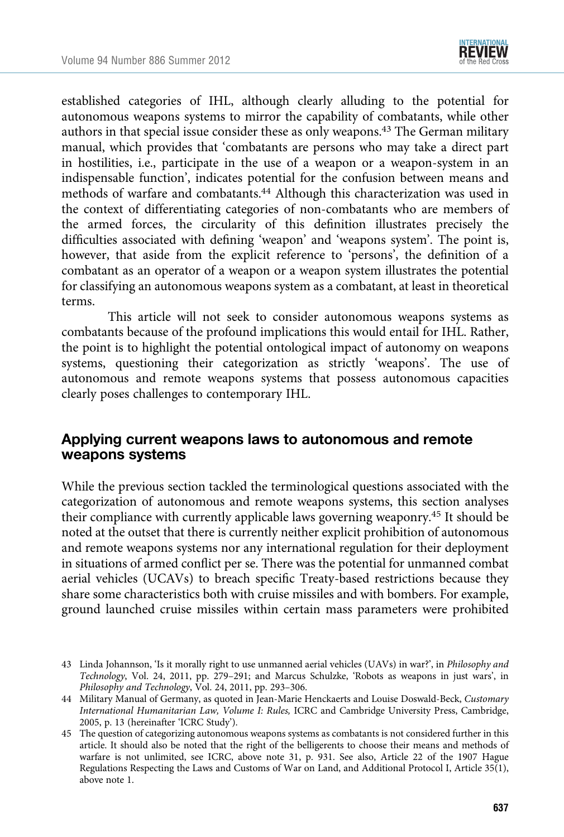

established categories of IHL, although clearly alluding to the potential for autonomous weapons systems to mirror the capability of combatants, while other authors in that special issue consider these as only weapons.43 The German military manual, which provides that 'combatants are persons who may take a direct part in hostilities, i.e., participate in the use of a weapon or a weapon-system in an indispensable function', indicates potential for the confusion between means and methods of warfare and combatants.44 Although this characterization was used in the context of differentiating categories of non-combatants who are members of the armed forces, the circularity of this definition illustrates precisely the difficulties associated with defining 'weapon' and 'weapons system'. The point is, however, that aside from the explicit reference to 'persons', the definition of a combatant as an operator of a weapon or a weapon system illustrates the potential for classifying an autonomous weapons system as a combatant, at least in theoretical terms.

This article will not seek to consider autonomous weapons systems as combatants because of the profound implications this would entail for IHL. Rather, the point is to highlight the potential ontological impact of autonomy on weapons systems, questioning their categorization as strictly 'weapons'. The use of autonomous and remote weapons systems that possess autonomous capacities clearly poses challenges to contemporary IHL.

## Applying current weapons laws to autonomous and remote weapons systems

While the previous section tackled the terminological questions associated with the categorization of autonomous and remote weapons systems, this section analyses their compliance with currently applicable laws governing weaponry.<sup>45</sup> It should be noted at the outset that there is currently neither explicit prohibition of autonomous and remote weapons systems nor any international regulation for their deployment in situations of armed conflict per se. There was the potential for unmanned combat aerial vehicles (UCAVs) to breach specific Treaty-based restrictions because they share some characteristics both with cruise missiles and with bombers. For example, ground launched cruise missiles within certain mass parameters were prohibited

<sup>43</sup> Linda Johannson, 'Is it morally right to use unmanned aerial vehicles (UAVs) in war?', in Philosophy and Technology, Vol. 24, 2011, pp. 279–291; and Marcus Schulzke, 'Robots as weapons in just wars', in Philosophy and Technology, Vol. 24, 2011, pp. 293–306.

<sup>44</sup> Military Manual of Germany, as quoted in Jean-Marie Henckaerts and Louise Doswald-Beck, Customary International Humanitarian Law, Volume I: Rules, ICRC and Cambridge University Press, Cambridge, 2005, p. 13 (hereinafter 'ICRC Study').

<sup>45</sup> The question of categorizing autonomous weapons systems as combatants is not considered further in this article. It should also be noted that the right of the belligerents to choose their means and methods of warfare is not unlimited, see ICRC, above note 31, p. 931. See also, Article 22 of the 1907 Hague Regulations Respecting the Laws and Customs of War on Land, and Additional Protocol I, Article 35(1), above note 1.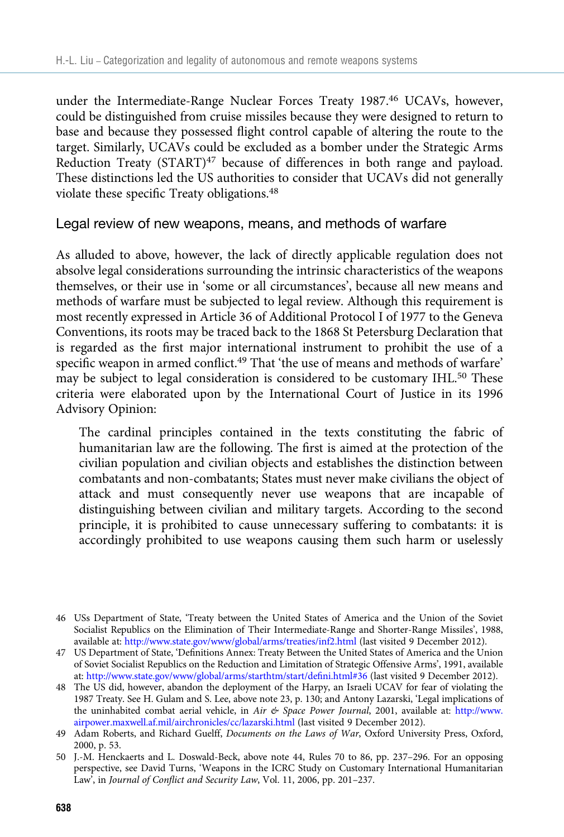under the Intermediate-Range Nuclear Forces Treaty 1987.46 UCAVs, however, could be distinguished from cruise missiles because they were designed to return to base and because they possessed flight control capable of altering the route to the target. Similarly, UCAVs could be excluded as a bomber under the Strategic Arms Reduction Treaty (START)<sup>47</sup> because of differences in both range and payload. These distinctions led the US authorities to consider that UCAVs did not generally violate these specific Treaty obligations.48

## Legal review of new weapons, means, and methods of warfare

As alluded to above, however, the lack of directly applicable regulation does not absolve legal considerations surrounding the intrinsic characteristics of the weapons themselves, or their use in 'some or all circumstances', because all new means and methods of warfare must be subjected to legal review. Although this requirement is most recently expressed in Article 36 of Additional Protocol I of 1977 to the Geneva Conventions, its roots may be traced back to the 1868 St Petersburg Declaration that is regarded as the first major international instrument to prohibit the use of a specific weapon in armed conflict.<sup>49</sup> That 'the use of means and methods of warfare' may be subject to legal consideration is considered to be customary IHL.<sup>50</sup> These criteria were elaborated upon by the International Court of Justice in its 1996 Advisory Opinion:

The cardinal principles contained in the texts constituting the fabric of humanitarian law are the following. The first is aimed at the protection of the civilian population and civilian objects and establishes the distinction between combatants and non-combatants; States must never make civilians the object of attack and must consequently never use weapons that are incapable of distinguishing between civilian and military targets. According to the second principle, it is prohibited to cause unnecessary suffering to combatants: it is accordingly prohibited to use weapons causing them such harm or uselessly

<sup>46</sup> USs Department of State, 'Treaty between the United States of America and the Union of the Soviet Socialist Republics on the Elimination of Their Intermediate-Range and Shorter-Range Missiles', 1988, available at: <http://www.state.gov/www/global/arms/treaties/inf2.html> (last visited 9 December 2012).

<sup>47</sup> US Department of State, 'Definitions Annex: Treaty Between the United States of America and the Union of Soviet Socialist Republics on the Reduction and Limitation of Strategic Offensive Arms', 1991, available at: [http://www.state.gov/www/global/arms/starthtm/start/de](http://www.state.gov/www/global/arms/starthtm/start/defini.html#36)fini.html#36 (last visited 9 December 2012).

<sup>48</sup> The US did, however, abandon the deployment of the Harpy, an Israeli UCAV for fear of violating the 1987 Treaty. See H. Gulam and S. Lee, above note 23, p. 130; and Antony Lazarski, 'Legal implications of the uninhabited combat aerial vehicle, in Air & Space Power Journal, 2001, available at: [http://www.](http://www.airpower.maxwell.af.mil/airchronicles/cc/lazarski.html) [airpower.maxwell.af.mil/airchronicles/cc/lazarski.html](http://www.airpower.maxwell.af.mil/airchronicles/cc/lazarski.html) (last visited 9 December 2012).

<sup>49</sup> Adam Roberts, and Richard Guelff, *Documents on the Laws of War*, Oxford University Press, Oxford, 2000, p. 53.

<sup>50</sup> J.-M. Henckaerts and L. Doswald-Beck, above note 44, Rules 70 to 86, pp. 237–296. For an opposing perspective, see David Turns, 'Weapons in the ICRC Study on Customary International Humanitarian Law', in Journal of Conflict and Security Law, Vol. 11, 2006, pp. 201–237.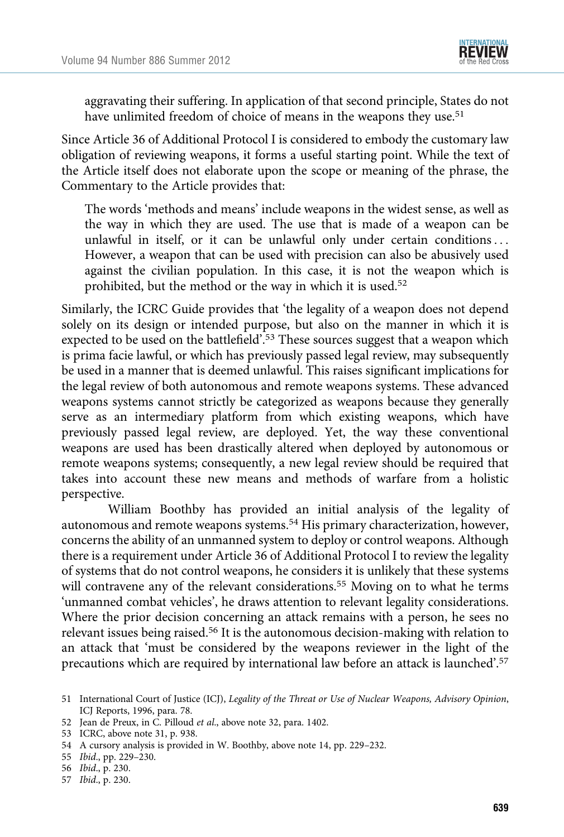aggravating their suffering. In application of that second principle, States do not have unlimited freedom of choice of means in the weapons they use.<sup>51</sup>

Since Article 36 of Additional Protocol I is considered to embody the customary law obligation of reviewing weapons, it forms a useful starting point. While the text of the Article itself does not elaborate upon the scope or meaning of the phrase, the Commentary to the Article provides that:

The words 'methods and means' include weapons in the widest sense, as well as the way in which they are used. The use that is made of a weapon can be unlawful in itself, or it can be unlawful only under certain conditions ... However, a weapon that can be used with precision can also be abusively used against the civilian population. In this case, it is not the weapon which is prohibited, but the method or the way in which it is used.52

Similarly, the ICRC Guide provides that 'the legality of a weapon does not depend solely on its design or intended purpose, but also on the manner in which it is expected to be used on the battlefield'.<sup>53</sup> These sources suggest that a weapon which is prima facie lawful, or which has previously passed legal review, may subsequently be used in a manner that is deemed unlawful. This raises significant implications for the legal review of both autonomous and remote weapons systems. These advanced weapons systems cannot strictly be categorized as weapons because they generally serve as an intermediary platform from which existing weapons, which have previously passed legal review, are deployed. Yet, the way these conventional weapons are used has been drastically altered when deployed by autonomous or remote weapons systems; consequently, a new legal review should be required that takes into account these new means and methods of warfare from a holistic perspective.

William Boothby has provided an initial analysis of the legality of autonomous and remote weapons systems.54 His primary characterization, however, concerns the ability of an unmanned system to deploy or control weapons. Although there is a requirement under Article 36 of Additional Protocol I to review the legality of systems that do not control weapons, he considers it is unlikely that these systems will contravene any of the relevant considerations.<sup>55</sup> Moving on to what he terms 'unmanned combat vehicles', he draws attention to relevant legality considerations. Where the prior decision concerning an attack remains with a person, he sees no relevant issues being raised.56 It is the autonomous decision-making with relation to an attack that 'must be considered by the weapons reviewer in the light of the precautions which are required by international law before an attack is launched'. 57

- 52 Jean de Preux, in C. Pilloud et al., above note 32, para. 1402.
- 53 ICRC, above note 31, p. 938.
- 54 A cursory analysis is provided in W. Boothby, above note 14, pp. 229–232.
- 55 Ibid., pp. 229–230.
- 56 Ibid., p. 230.
- 57 Ibid., p. 230.

<sup>51</sup> International Court of Justice (ICJ), Legality of the Threat or Use of Nuclear Weapons, Advisory Opinion, ICJ Reports, 1996, para. 78.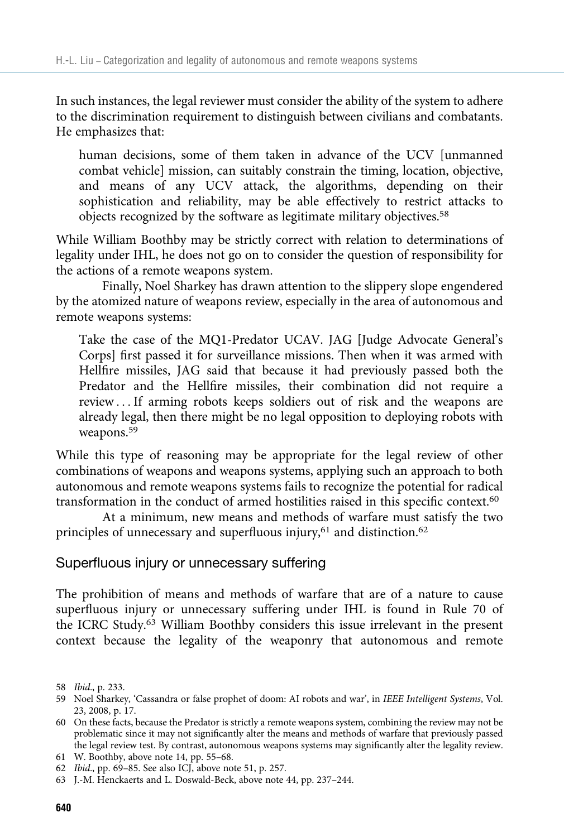In such instances, the legal reviewer must consider the ability of the system to adhere to the discrimination requirement to distinguish between civilians and combatants. He emphasizes that:

human decisions, some of them taken in advance of the UCV [unmanned combat vehicle] mission, can suitably constrain the timing, location, objective, and means of any UCV attack, the algorithms, depending on their sophistication and reliability, may be able effectively to restrict attacks to objects recognized by the software as legitimate military objectives.58

While William Boothby may be strictly correct with relation to determinations of legality under IHL, he does not go on to consider the question of responsibility for the actions of a remote weapons system.

Finally, Noel Sharkey has drawn attention to the slippery slope engendered by the atomized nature of weapons review, especially in the area of autonomous and remote weapons systems:

Take the case of the MQ1-Predator UCAV. JAG [Judge Advocate General's Corps] first passed it for surveillance missions. Then when it was armed with Hellfire missiles, JAG said that because it had previously passed both the Predator and the Hellfire missiles, their combination did not require a review ... If arming robots keeps soldiers out of risk and the weapons are already legal, then there might be no legal opposition to deploying robots with weapons.<sup>59</sup>

While this type of reasoning may be appropriate for the legal review of other combinations of weapons and weapons systems, applying such an approach to both autonomous and remote weapons systems fails to recognize the potential for radical transformation in the conduct of armed hostilities raised in this specific context.60

At a minimum, new means and methods of warfare must satisfy the two principles of unnecessary and superfluous injury,<sup>61</sup> and distinction.<sup>62</sup>

## Superfluous injury or unnecessary suffering

The prohibition of means and methods of warfare that are of a nature to cause superfluous injury or unnecessary suffering under IHL is found in Rule 70 of the ICRC Study.63 William Boothby considers this issue irrelevant in the present context because the legality of the weaponry that autonomous and remote

<sup>58</sup> Ibid., p. 233.

<sup>59</sup> Noel Sharkey, 'Cassandra or false prophet of doom: AI robots and war', in IEEE Intelligent Systems, Vol. 23, 2008, p. 17.

<sup>60</sup> On these facts, because the Predator is strictly a remote weapons system, combining the review may not be problematic since it may not significantly alter the means and methods of warfare that previously passed the legal review test. By contrast, autonomous weapons systems may significantly alter the legality review.

<sup>61</sup> W. Boothby, above note 14, pp. 55–68.

<sup>62</sup> Ibid., pp. 69–85. See also ICJ, above note 51, p. 257.

<sup>63</sup> J.-M. Henckaerts and L. Doswald-Beck, above note 44, pp. 237–244.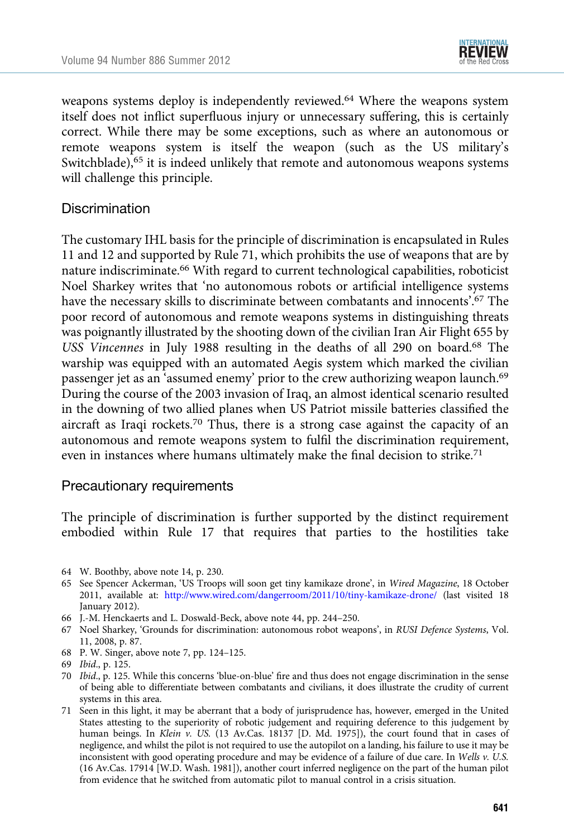weapons systems deploy is independently reviewed.<sup>64</sup> Where the weapons system itself does not inflict superfluous injury or unnecessary suffering, this is certainly correct. While there may be some exceptions, such as where an autonomous or remote weapons system is itself the weapon (such as the US military's Switchblade),<sup>65</sup> it is indeed unlikely that remote and autonomous weapons systems will challenge this principle.

## **Discrimination**

The customary IHL basis for the principle of discrimination is encapsulated in Rules 11 and 12 and supported by Rule 71, which prohibits the use of weapons that are by nature indiscriminate.66 With regard to current technological capabilities, roboticist Noel Sharkey writes that 'no autonomous robots or artificial intelligence systems have the necessary skills to discriminate between combatants and innocents'. <sup>67</sup> The poor record of autonomous and remote weapons systems in distinguishing threats was poignantly illustrated by the shooting down of the civilian Iran Air Flight 655 by USS Vincennes in July 1988 resulting in the deaths of all 290 on board.68 The warship was equipped with an automated Aegis system which marked the civilian passenger jet as an 'assumed enemy' prior to the crew authorizing weapon launch.<sup>69</sup> During the course of the 2003 invasion of Iraq, an almost identical scenario resulted in the downing of two allied planes when US Patriot missile batteries classified the aircraft as Iraqi rockets.70 Thus, there is a strong case against the capacity of an autonomous and remote weapons system to fulfil the discrimination requirement, even in instances where humans ultimately make the final decision to strike.<sup>71</sup>

## Precautionary requirements

The principle of discrimination is further supported by the distinct requirement embodied within Rule 17 that requires that parties to the hostilities take

- 64 W. Boothby, above note 14, p. 230.
- 65 See Spencer Ackerman, 'US Troops will soon get tiny kamikaze drone', in Wired Magazine, 18 October 2011, available at: <http://www.wired.com/dangerroom/2011/10/tiny-kamikaze-drone/> (last visited 18 January 2012).
- 66 J.-M. Henckaerts and L. Doswald-Beck, above note 44, pp. 244–250.
- 67 Noel Sharkey, 'Grounds for discrimination: autonomous robot weapons', in RUSI Defence Systems, Vol. 11, 2008, p. 87.
- 68 P. W. Singer, above note 7, pp. 124–125.
- 69 Ibid., p. 125.
- 70 Ibid., p. 125. While this concerns 'blue-on-blue' fire and thus does not engage discrimination in the sense of being able to differentiate between combatants and civilians, it does illustrate the crudity of current systems in this area.
- 71 Seen in this light, it may be aberrant that a body of jurisprudence has, however, emerged in the United States attesting to the superiority of robotic judgement and requiring deference to this judgement by human beings. In Klein v. US. (13 Av.Cas. 18137 [D. Md. 1975]), the court found that in cases of negligence, and whilst the pilot is not required to use the autopilot on a landing, his failure to use it may be inconsistent with good operating procedure and may be evidence of a failure of due care. In Wells v. U.S. (16 Av.Cas. 17914 [W.D. Wash. 1981]), another court inferred negligence on the part of the human pilot from evidence that he switched from automatic pilot to manual control in a crisis situation.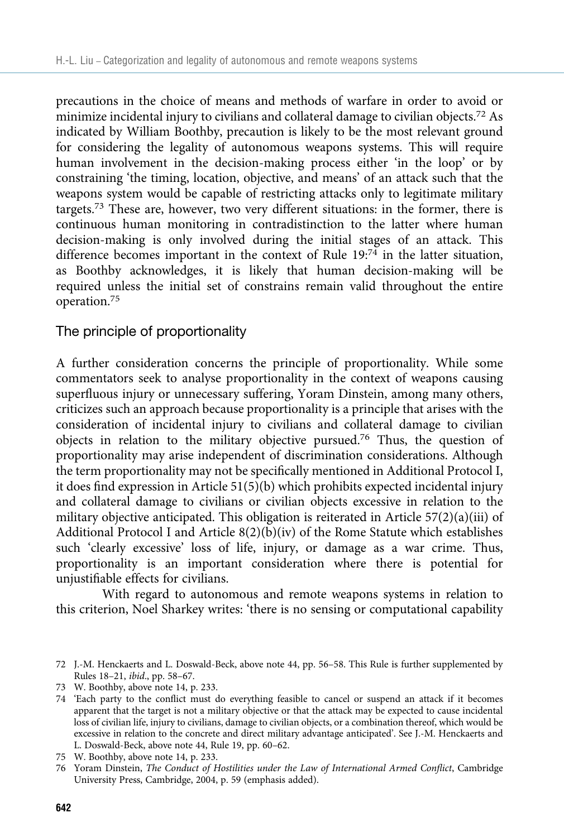precautions in the choice of means and methods of warfare in order to avoid or minimize incidental injury to civilians and collateral damage to civilian objects.72 As indicated by William Boothby, precaution is likely to be the most relevant ground for considering the legality of autonomous weapons systems. This will require human involvement in the decision-making process either 'in the loop' or by constraining 'the timing, location, objective, and means' of an attack such that the weapons system would be capable of restricting attacks only to legitimate military targets.73 These are, however, two very different situations: in the former, there is continuous human monitoring in contradistinction to the latter where human decision-making is only involved during the initial stages of an attack. This difference becomes important in the context of Rule 19:<sup>74</sup> in the latter situation, as Boothby acknowledges, it is likely that human decision-making will be required unless the initial set of constrains remain valid throughout the entire operation.75

## The principle of proportionality

A further consideration concerns the principle of proportionality. While some commentators seek to analyse proportionality in the context of weapons causing superfluous injury or unnecessary suffering, Yoram Dinstein, among many others, criticizes such an approach because proportionality is a principle that arises with the consideration of incidental injury to civilians and collateral damage to civilian objects in relation to the military objective pursued.76 Thus, the question of proportionality may arise independent of discrimination considerations. Although the term proportionality may not be specifically mentioned in Additional Protocol I, it does find expression in Article  $51(5)(b)$  which prohibits expected incidental injury and collateral damage to civilians or civilian objects excessive in relation to the military objective anticipated. This obligation is reiterated in Article  $57(2)(a)(iii)$  of Additional Protocol I and Article 8(2)(b)(iv) of the Rome Statute which establishes such 'clearly excessive' loss of life, injury, or damage as a war crime. Thus, proportionality is an important consideration where there is potential for unjustifiable effects for civilians.

With regard to autonomous and remote weapons systems in relation to this criterion, Noel Sharkey writes: 'there is no sensing or computational capability

<sup>72</sup> J.-M. Henckaerts and L. Doswald-Beck, above note 44, pp. 56–58. This Rule is further supplemented by Rules 18–21, ibid., pp. 58–67.

<sup>73</sup> W. Boothby, above note 14, p. 233.

<sup>74</sup> 'Each party to the conflict must do everything feasible to cancel or suspend an attack if it becomes apparent that the target is not a military objective or that the attack may be expected to cause incidental loss of civilian life, injury to civilians, damage to civilian objects, or a combination thereof, which would be excessive in relation to the concrete and direct military advantage anticipated'. See J.-M. Henckaerts and L. Doswald-Beck, above note 44, Rule 19, pp. 60–62.

<sup>75</sup> W. Boothby, above note 14, p. 233.

<sup>76</sup> Yoram Dinstein, The Conduct of Hostilities under the Law of International Armed Conflict, Cambridge University Press, Cambridge, 2004, p. 59 (emphasis added).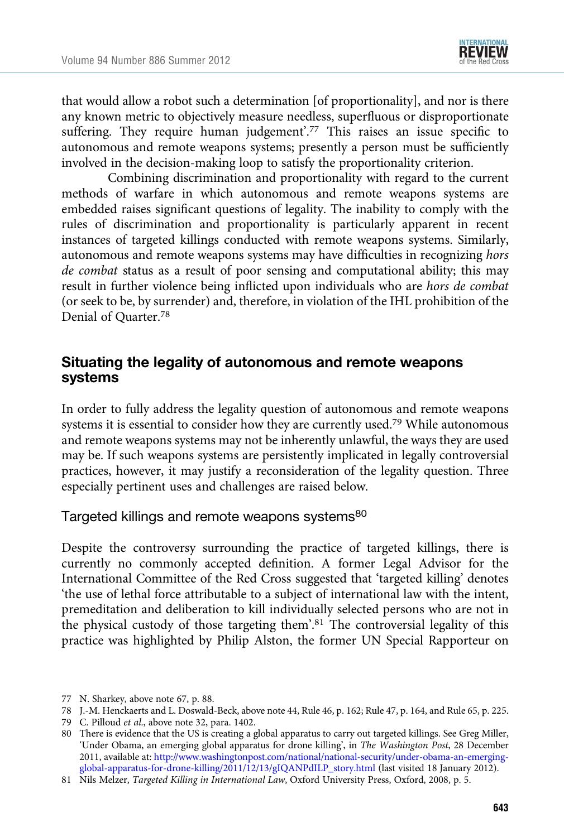

that would allow a robot such a determination [of proportionality], and nor is there any known metric to objectively measure needless, superfluous or disproportionate suffering. They require human judgement'.<sup>77</sup> This raises an issue specific to autonomous and remote weapons systems; presently a person must be sufficiently involved in the decision-making loop to satisfy the proportionality criterion.

Combining discrimination and proportionality with regard to the current methods of warfare in which autonomous and remote weapons systems are embedded raises significant questions of legality. The inability to comply with the rules of discrimination and proportionality is particularly apparent in recent instances of targeted killings conducted with remote weapons systems. Similarly, autonomous and remote weapons systems may have difficulties in recognizing hors de combat status as a result of poor sensing and computational ability; this may result in further violence being inflicted upon individuals who are hors de combat (or seek to be, by surrender) and, therefore, in violation of the IHL prohibition of the Denial of Quarter.78

## Situating the legality of autonomous and remote weapons systems

In order to fully address the legality question of autonomous and remote weapons systems it is essential to consider how they are currently used.<sup>79</sup> While autonomous and remote weapons systems may not be inherently unlawful, the ways they are used may be. If such weapons systems are persistently implicated in legally controversial practices, however, it may justify a reconsideration of the legality question. Three especially pertinent uses and challenges are raised below.

Targeted killings and remote weapons systems<sup>80</sup>

Despite the controversy surrounding the practice of targeted killings, there is currently no commonly accepted definition. A former Legal Advisor for the International Committee of the Red Cross suggested that 'targeted killing' denotes 'the use of lethal force attributable to a subject of international law with the intent, premeditation and deliberation to kill individually selected persons who are not in the physical custody of those targeting them'. <sup>81</sup> The controversial legality of this practice was highlighted by Philip Alston, the former UN Special Rapporteur on

<sup>77</sup> N. Sharkey, above note 67, p. 88.

<sup>78</sup> J.-M. Henckaerts and L. Doswald-Beck, above note 44, Rule 46, p. 162; Rule 47, p. 164, and Rule 65, p. 225.

<sup>79</sup> C. Pilloud et al., above note 32, para. 1402.

<sup>80</sup> There is evidence that the US is creating a global apparatus to carry out targeted killings. See Greg Miller, 'Under Obama, an emerging global apparatus for drone killing', in The Washington Post, 28 December 2011, available at: [http://www.washingtonpost.com/national/national-security/under-obama-an-emerging](http://www.washingtonpost.com/national/national-security/under-obama-an-emerging-global-apparatus-for-drone-killing/2011/12/13/gIQANPdILP_story.html)[global-apparatus-for-drone-killing/2011/12/13/gIQANPdILP\\_story.html](http://www.washingtonpost.com/national/national-security/under-obama-an-emerging-global-apparatus-for-drone-killing/2011/12/13/gIQANPdILP_story.html) (last visited 18 January 2012).

<sup>81</sup> Nils Melzer, Targeted Killing in International Law, Oxford University Press, Oxford, 2008, p. 5.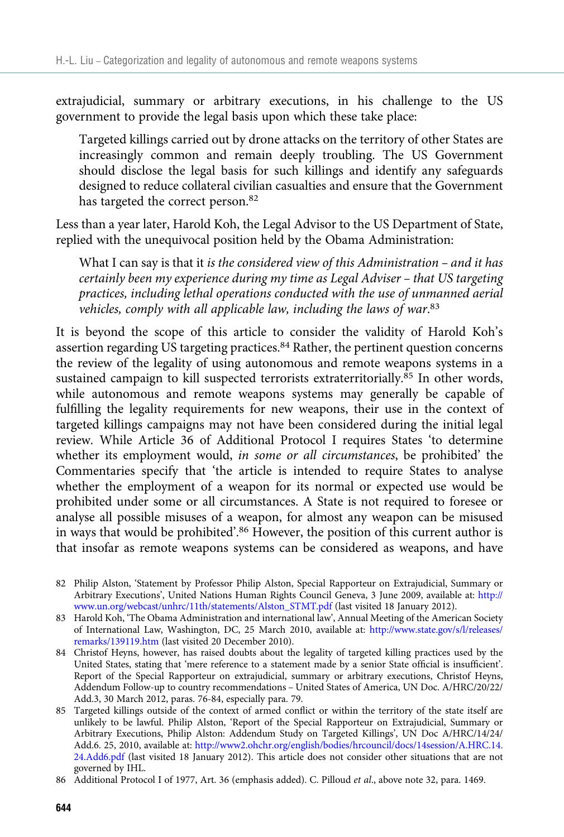extrajudicial, summary or arbitrary executions, in his challenge to the US government to provide the legal basis upon which these take place:

Targeted killings carried out by drone attacks on the territory of other States are increasingly common and remain deeply troubling. The US Government should disclose the legal basis for such killings and identify any safeguards designed to reduce collateral civilian casualties and ensure that the Government has targeted the correct person.82

Less than a year later, Harold Koh, the Legal Advisor to the US Department of State, replied with the unequivocal position held by the Obama Administration:

What I can say is that it *is the considered view of this Administration – and it has* certainly been my experience during my time as Legal Adviser – that US targeting practices, including lethal operations conducted with the use of unmanned aerial vehicles, comply with all applicable law, including the laws of war.<sup>83</sup>

It is beyond the scope of this article to consider the validity of Harold Koh's assertion regarding US targeting practices.<sup>84</sup> Rather, the pertinent question concerns the review of the legality of using autonomous and remote weapons systems in a sustained campaign to kill suspected terrorists extraterritorially.<sup>85</sup> In other words, while autonomous and remote weapons systems may generally be capable of fulfilling the legality requirements for new weapons, their use in the context of targeted killings campaigns may not have been considered during the initial legal review. While Article 36 of Additional Protocol I requires States 'to determine whether its employment would, *in some or all circumstances*, be prohibited' the Commentaries specify that 'the article is intended to require States to analyse whether the employment of a weapon for its normal or expected use would be prohibited under some or all circumstances. A State is not required to foresee or analyse all possible misuses of a weapon, for almost any weapon can be misused in ways that would be prohibited'. <sup>86</sup> However, the position of this current author is that insofar as remote weapons systems can be considered as weapons, and have

- 84 Christof Heyns, however, has raised doubts about the legality of targeted killing practices used by the United States, stating that 'mere reference to a statement made by a senior State official is insufficient'. Report of the Special Rapporteur on extrajudicial, summary or arbitrary executions, Christof Heyns, Addendum Follow-up to country recommendations – United States of America, UN Doc. A/HRC/20/22/ Add.3, 30 March 2012, paras. 76-84, especially para. 79.
- 85 Targeted killings outside of the context of armed conflict or within the territory of the state itself are unlikely to be lawful. Philip Alston, 'Report of the Special Rapporteur on Extrajudicial, Summary or Arbitrary Executions, Philip Alston: Addendum Study on Targeted Killings', UN Doc A/HRC/14/24/ Add.6. 25, 2010, available at: [http://www2.ohchr.org/english/bodies/hrcouncil/docs/14session/A.HRC.14.](http://www2.ohchr.org/english/bodies/hrcouncil/docs/14session/A.HRC.14.24.Add6.pdf) [24.Add6.pdf](http://www2.ohchr.org/english/bodies/hrcouncil/docs/14session/A.HRC.14.24.Add6.pdf) (last visited 18 January 2012). This article does not consider other situations that are not governed by IHL.

<sup>82</sup> Philip Alston, 'Statement by Professor Philip Alston, Special Rapporteur on Extrajudicial, Summary or Arbitrary Executions', United Nations Human Rights Council Geneva, 3 June 2009, available at: [http://](http://www.un.org/webcast/unhrc/11th/statements/Alston_STMT.pdf) [www.un.org/webcast/unhrc/11th/statements/Alston\\_STMT.pdf](http://www.un.org/webcast/unhrc/11th/statements/Alston_STMT.pdf) (last visited 18 January 2012).

<sup>83</sup> Harold Koh, 'The Obama Administration and international law', Annual Meeting of the American Society of International Law, Washington, DC, 25 March 2010, available at: [http://www.state.gov/s/l/releases/](http://www.state.gov/s/l/releases/remarks/139119.htm) [remarks/139119.htm](http://www.state.gov/s/l/releases/remarks/139119.htm) (last visited 20 December 2010).

<sup>86</sup> Additional Protocol I of 1977, Art. 36 (emphasis added). C. Pilloud et al., above note 32, para. 1469.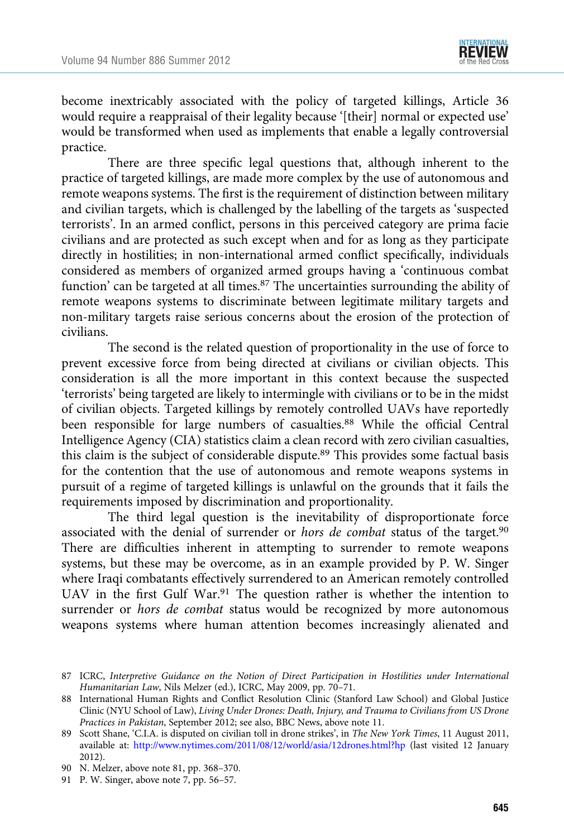become inextricably associated with the policy of targeted killings, Article 36 would require a reappraisal of their legality because '[their] normal or expected use' would be transformed when used as implements that enable a legally controversial practice.

There are three specific legal questions that, although inherent to the practice of targeted killings, are made more complex by the use of autonomous and remote weapons systems. The first is the requirement of distinction between military and civilian targets, which is challenged by the labelling of the targets as 'suspected terrorists'. In an armed conflict, persons in this perceived category are prima facie civilians and are protected as such except when and for as long as they participate directly in hostilities; in non-international armed conflict specifically, individuals considered as members of organized armed groups having a 'continuous combat function' can be targeted at all times.87 The uncertainties surrounding the ability of remote weapons systems to discriminate between legitimate military targets and non-military targets raise serious concerns about the erosion of the protection of civilians.

The second is the related question of proportionality in the use of force to prevent excessive force from being directed at civilians or civilian objects. This consideration is all the more important in this context because the suspected 'terrorists' being targeted are likely to intermingle with civilians or to be in the midst of civilian objects. Targeted killings by remotely controlled UAVs have reportedly been responsible for large numbers of casualties.<sup>88</sup> While the official Central Intelligence Agency (CIA) statistics claim a clean record with zero civilian casualties, this claim is the subject of considerable dispute.89 This provides some factual basis for the contention that the use of autonomous and remote weapons systems in pursuit of a regime of targeted killings is unlawful on the grounds that it fails the requirements imposed by discrimination and proportionality.

The third legal question is the inevitability of disproportionate force associated with the denial of surrender or hors de combat status of the target.<sup>90</sup> There are difficulties inherent in attempting to surrender to remote weapons systems, but these may be overcome, as in an example provided by P. W. Singer where Iraqi combatants effectively surrendered to an American remotely controlled UAV in the first Gulf War.<sup>91</sup> The question rather is whether the intention to surrender or hors de combat status would be recognized by more autonomous weapons systems where human attention becomes increasingly alienated and

<sup>87</sup> ICRC, Interpretive Guidance on the Notion of Direct Participation in Hostilities under International Humanitarian Law, Nils Melzer (ed.), ICRC, May 2009, pp. 70–71.

<sup>88</sup> International Human Rights and Conflict Resolution Clinic (Stanford Law School) and Global Justice Clinic (NYU School of Law), Living Under Drones: Death, Injury, and Trauma to Civilians from US Drone Practices in Pakistan, September 2012; see also, BBC News, above note 11.

<sup>89</sup> Scott Shane, 'C.I.A. is disputed on civilian toll in drone strikes', in The New York Times, 11 August 2011, available at: <http://www.nytimes.com/2011/08/12/world/asia/12drones.html?hp> (last visited 12 January 2012).

<sup>90</sup> N. Melzer, above note 81, pp. 368–370.

<sup>91</sup> P. W. Singer, above note 7, pp. 56–57.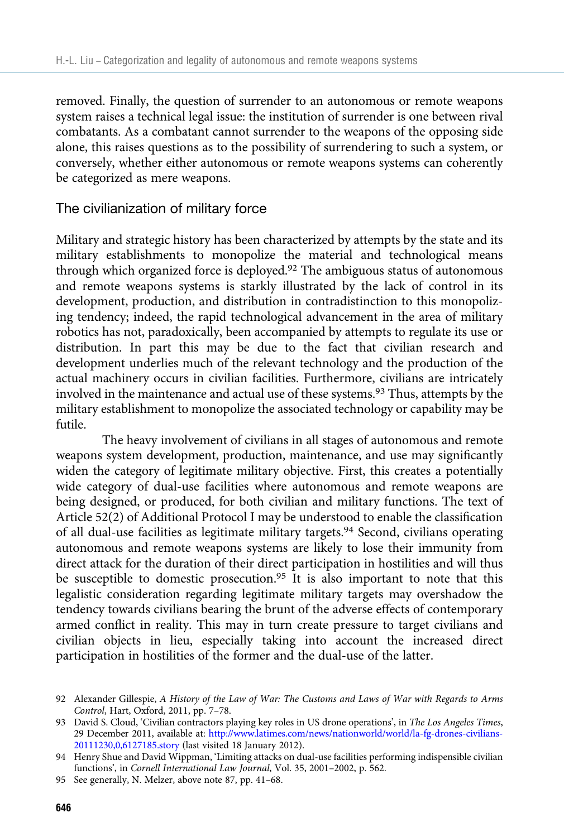removed. Finally, the question of surrender to an autonomous or remote weapons system raises a technical legal issue: the institution of surrender is one between rival combatants. As a combatant cannot surrender to the weapons of the opposing side alone, this raises questions as to the possibility of surrendering to such a system, or conversely, whether either autonomous or remote weapons systems can coherently be categorized as mere weapons.

#### The civilianization of military force

Military and strategic history has been characterized by attempts by the state and its military establishments to monopolize the material and technological means through which organized force is deployed.<sup>92</sup> The ambiguous status of autonomous and remote weapons systems is starkly illustrated by the lack of control in its development, production, and distribution in contradistinction to this monopolizing tendency; indeed, the rapid technological advancement in the area of military robotics has not, paradoxically, been accompanied by attempts to regulate its use or distribution. In part this may be due to the fact that civilian research and development underlies much of the relevant technology and the production of the actual machinery occurs in civilian facilities. Furthermore, civilians are intricately involved in the maintenance and actual use of these systems.<sup>93</sup> Thus, attempts by the military establishment to monopolize the associated technology or capability may be futile.

The heavy involvement of civilians in all stages of autonomous and remote weapons system development, production, maintenance, and use may significantly widen the category of legitimate military objective. First, this creates a potentially wide category of dual-use facilities where autonomous and remote weapons are being designed, or produced, for both civilian and military functions. The text of Article 52(2) of Additional Protocol I may be understood to enable the classification of all dual-use facilities as legitimate military targets.<sup>94</sup> Second, civilians operating autonomous and remote weapons systems are likely to lose their immunity from direct attack for the duration of their direct participation in hostilities and will thus be susceptible to domestic prosecution.<sup>95</sup> It is also important to note that this legalistic consideration regarding legitimate military targets may overshadow the tendency towards civilians bearing the brunt of the adverse effects of contemporary armed conflict in reality. This may in turn create pressure to target civilians and civilian objects in lieu, especially taking into account the increased direct participation in hostilities of the former and the dual-use of the latter.

<sup>92</sup> Alexander Gillespie, A History of the Law of War: The Customs and Laws of War with Regards to Arms Control, Hart, Oxford, 2011, pp. 7–78.

<sup>93</sup> David S. Cloud, 'Civilian contractors playing key roles in US drone operations', in The Los Angeles Times, 29 December 2011, available at: [http://www.latimes.com/news/nationworld/world/la-fg-drones-civilians-](http://www.latimes.com/news/nationworld/world/la-fg-drones-civilians-20111230,0,6127185.story)[20111230,0,6127185.story](http://www.latimes.com/news/nationworld/world/la-fg-drones-civilians-20111230,0,6127185.story) (last visited 18 January 2012).

<sup>94</sup> Henry Shue and David Wippman, 'Limiting attacks on dual-use facilities performing indispensible civilian functions', in Cornell International Law Journal, Vol. 35, 2001–2002, p. 562.

<sup>95</sup> See generally, N. Melzer, above note 87, pp. 41–68.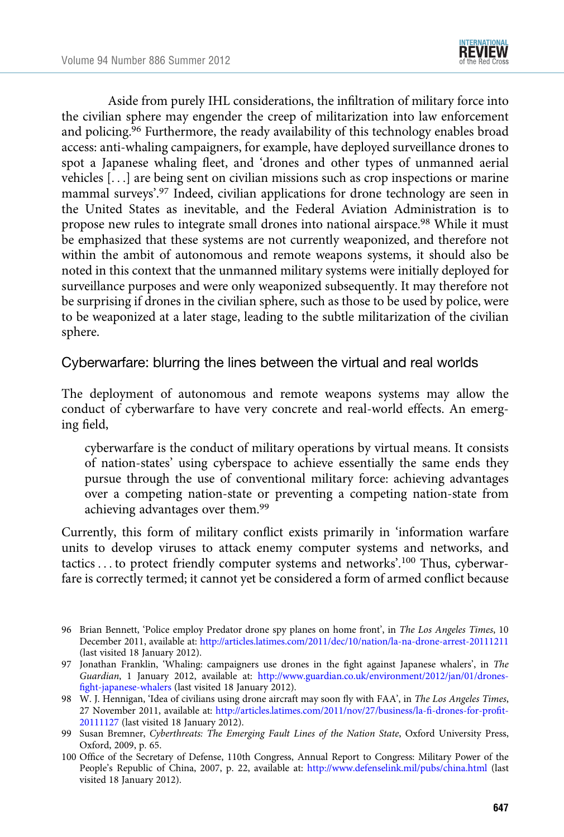

Aside from purely IHL considerations, the infiltration of military force into the civilian sphere may engender the creep of militarization into law enforcement and policing.96 Furthermore, the ready availability of this technology enables broad access: anti-whaling campaigners, for example, have deployed surveillance drones to spot a Japanese whaling fleet, and 'drones and other types of unmanned aerial vehicles [...] are being sent on civilian missions such as crop inspections or marine mammal surveys'.<sup>97</sup> Indeed, civilian applications for drone technology are seen in the United States as inevitable, and the Federal Aviation Administration is to propose new rules to integrate small drones into national airspace.98 While it must be emphasized that these systems are not currently weaponized, and therefore not within the ambit of autonomous and remote weapons systems, it should also be noted in this context that the unmanned military systems were initially deployed for surveillance purposes and were only weaponized subsequently. It may therefore not be surprising if drones in the civilian sphere, such as those to be used by police, were to be weaponized at a later stage, leading to the subtle militarization of the civilian sphere.

Cyberwarfare: blurring the lines between the virtual and real worlds

The deployment of autonomous and remote weapons systems may allow the conduct of cyberwarfare to have very concrete and real-world effects. An emerging field,

cyberwarfare is the conduct of military operations by virtual means. It consists of nation-states' using cyberspace to achieve essentially the same ends they pursue through the use of conventional military force: achieving advantages over a competing nation-state or preventing a competing nation-state from achieving advantages over them.99

Currently, this form of military conflict exists primarily in 'information warfare units to develop viruses to attack enemy computer systems and networks, and tactics ... to protect friendly computer systems and networks'.<sup>100</sup> Thus, cyberwarfare is correctly termed; it cannot yet be considered a form of armed conflict because

- 96 Brian Bennett, 'Police employ Predator drone spy planes on home front', in The Los Angeles Times, 10 December 2011, available at: <http://articles.latimes.com/2011/dec/10/nation/la-na-drone-arrest-20111211> (last visited 18 January 2012).
- 97 Jonathan Franklin, 'Whaling: campaigners use drones in the fight against Japanese whalers', in The Guardian, 1 January 2012, available at: [http://www.guardian.co.uk/environment/2012/jan/01/drones](http://www.guardian.co.uk/environment/2012/jan/01/drones-fight-japanese-whalers)fi[ght-japanese-whalers](http://www.guardian.co.uk/environment/2012/jan/01/drones-fight-japanese-whalers) (last visited 18 January 2012).
- 98 W. J. Hennigan, 'Idea of civilians using drone aircraft may soon fly with FAA', in The Los Angeles Times, 27 November 2011, available at: [http://articles.latimes.com/2011/nov/27/business/la-](http://articles.latimes.com/2011/nov/27/business/la-fi-drones-for-profit-20111127)fi-drones-for-profit-[20111127](http://articles.latimes.com/2011/nov/27/business/la-fi-drones-for-profit-20111127) (last visited 18 January 2012).
- 99 Susan Bremner, Cyberthreats: The Emerging Fault Lines of the Nation State, Oxford University Press, Oxford, 2009, p. 65.
- 100 Office of the Secretary of Defense, 110th Congress, Annual Report to Congress: Military Power of the People's Republic of China, 2007, p. 22, available at: <http://www.defenselink.mil/pubs/china.html> (last visited 18 January 2012).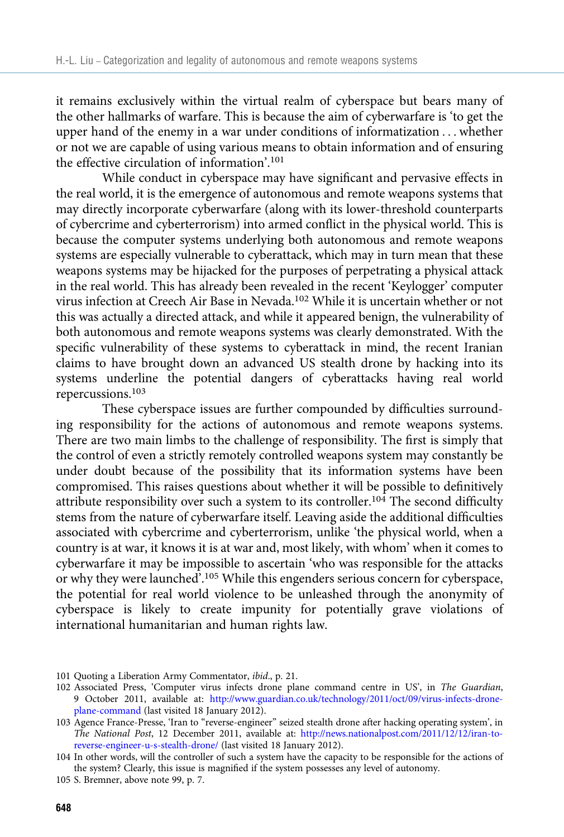it remains exclusively within the virtual realm of cyberspace but bears many of the other hallmarks of warfare. This is because the aim of cyberwarfare is 'to get the upper hand of the enemy in a war under conditions of informatization ... whether or not we are capable of using various means to obtain information and of ensuring the effective circulation of information'. 101

While conduct in cyberspace may have significant and pervasive effects in the real world, it is the emergence of autonomous and remote weapons systems that may directly incorporate cyberwarfare (along with its lower-threshold counterparts of cybercrime and cyberterrorism) into armed conflict in the physical world. This is because the computer systems underlying both autonomous and remote weapons systems are especially vulnerable to cyberattack, which may in turn mean that these weapons systems may be hijacked for the purposes of perpetrating a physical attack in the real world. This has already been revealed in the recent 'Keylogger' computer virus infection at Creech Air Base in Nevada.102 While it is uncertain whether or not this was actually a directed attack, and while it appeared benign, the vulnerability of both autonomous and remote weapons systems was clearly demonstrated. With the specific vulnerability of these systems to cyberattack in mind, the recent Iranian claims to have brought down an advanced US stealth drone by hacking into its systems underline the potential dangers of cyberattacks having real world repercussions.103

These cyberspace issues are further compounded by difficulties surrounding responsibility for the actions of autonomous and remote weapons systems. There are two main limbs to the challenge of responsibility. The first is simply that the control of even a strictly remotely controlled weapons system may constantly be under doubt because of the possibility that its information systems have been compromised. This raises questions about whether it will be possible to definitively attribute responsibility over such a system to its controller.<sup>104</sup> The second difficulty stems from the nature of cyberwarfare itself. Leaving aside the additional difficulties associated with cybercrime and cyberterrorism, unlike 'the physical world, when a country is at war, it knows it is at war and, most likely, with whom' when it comes to cyberwarfare it may be impossible to ascertain 'who was responsible for the attacks or why they were launched'.<sup>105</sup> While this engenders serious concern for cyberspace, the potential for real world violence to be unleashed through the anonymity of cyberspace is likely to create impunity for potentially grave violations of international humanitarian and human rights law.

105 S. Bremner, above note 99, p. 7.

<sup>101</sup> Quoting a Liberation Army Commentator, ibid., p. 21.

<sup>102</sup> Associated Press, 'Computer virus infects drone plane command centre in US', in The Guardian, 9 October 2011, available at: [http://www.guardian.co.uk/technology/2011/oct/09/virus-infects-drone](http://www.guardian.co.uk/technology/2011/oct/09/virus-infects-drone-plane-command)[plane-command](http://www.guardian.co.uk/technology/2011/oct/09/virus-infects-drone-plane-command) (last visited 18 January 2012).

<sup>103</sup> Agence France-Presse, 'Iran to "reverse-engineer" seized stealth drone after hacking operating system', in The National Post, 12 December 2011, available at: [http://news.nationalpost.com/2011/12/12/iran-to](http://news.nationalpost.com/2011/12/12/iran-to-reverse-engineer-u-s-stealth-drone/)[reverse-engineer-u-s-stealth-drone/](http://news.nationalpost.com/2011/12/12/iran-to-reverse-engineer-u-s-stealth-drone/) (last visited 18 January 2012).

<sup>104</sup> In other words, will the controller of such a system have the capacity to be responsible for the actions of the system? Clearly, this issue is magnified if the system possesses any level of autonomy.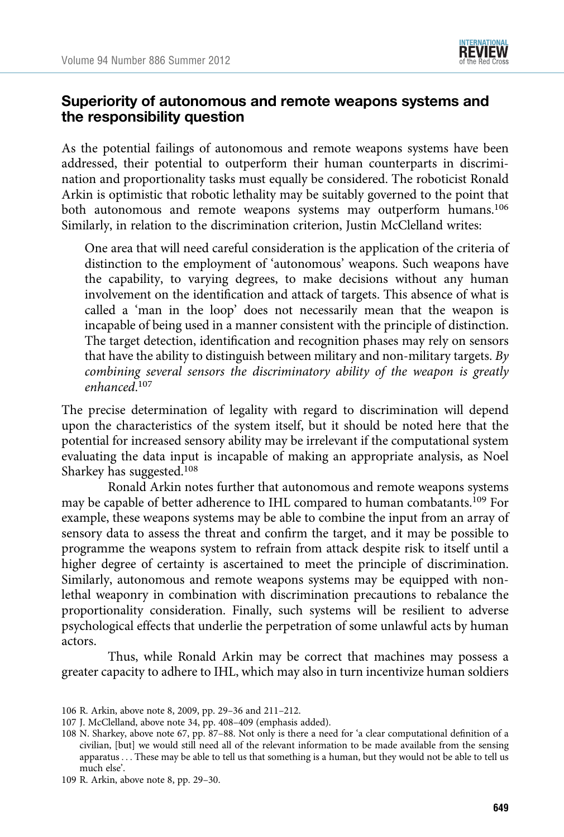

## Superiority of autonomous and remote weapons systems and the responsibility question

As the potential failings of autonomous and remote weapons systems have been addressed, their potential to outperform their human counterparts in discrimination and proportionality tasks must equally be considered. The roboticist Ronald Arkin is optimistic that robotic lethality may be suitably governed to the point that both autonomous and remote weapons systems may outperform humans.<sup>106</sup> Similarly, in relation to the discrimination criterion, Justin McClelland writes:

One area that will need careful consideration is the application of the criteria of distinction to the employment of 'autonomous' weapons. Such weapons have the capability, to varying degrees, to make decisions without any human involvement on the identification and attack of targets. This absence of what is called a 'man in the loop' does not necessarily mean that the weapon is incapable of being used in a manner consistent with the principle of distinction. The target detection, identification and recognition phases may rely on sensors that have the ability to distinguish between military and non-military targets. By combining several sensors the discriminatory ability of the weapon is greatly enhanced. 107

The precise determination of legality with regard to discrimination will depend upon the characteristics of the system itself, but it should be noted here that the potential for increased sensory ability may be irrelevant if the computational system evaluating the data input is incapable of making an appropriate analysis, as Noel Sharkey has suggested.<sup>108</sup>

Ronald Arkin notes further that autonomous and remote weapons systems may be capable of better adherence to IHL compared to human combatants.109 For example, these weapons systems may be able to combine the input from an array of sensory data to assess the threat and confirm the target, and it may be possible to programme the weapons system to refrain from attack despite risk to itself until a higher degree of certainty is ascertained to meet the principle of discrimination. Similarly, autonomous and remote weapons systems may be equipped with nonlethal weaponry in combination with discrimination precautions to rebalance the proportionality consideration. Finally, such systems will be resilient to adverse psychological effects that underlie the perpetration of some unlawful acts by human actors.

Thus, while Ronald Arkin may be correct that machines may possess a greater capacity to adhere to IHL, which may also in turn incentivize human soldiers

<sup>106</sup> R. Arkin, above note 8, 2009, pp. 29–36 and 211–212.

<sup>107</sup> J. McClelland, above note 34, pp. 408–409 (emphasis added).

<sup>108</sup> N. Sharkey, above note 67, pp. 87–88. Not only is there a need for 'a clear computational definition of a civilian, [but] we would still need all of the relevant information to be made available from the sensing apparatus ... These may be able to tell us that something is a human, but they would not be able to tell us much else'.

<sup>109</sup> R. Arkin, above note 8, pp. 29–30.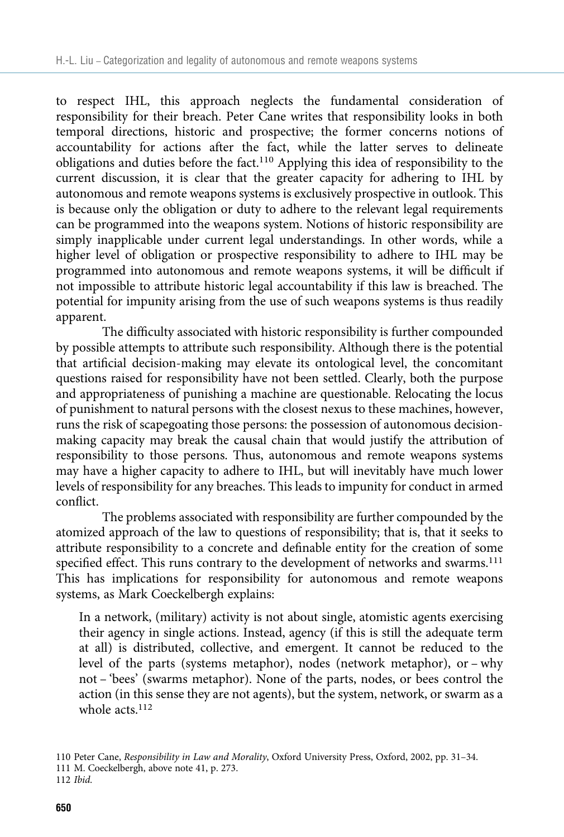to respect IHL, this approach neglects the fundamental consideration of responsibility for their breach. Peter Cane writes that responsibility looks in both temporal directions, historic and prospective; the former concerns notions of accountability for actions after the fact, while the latter serves to delineate obligations and duties before the fact.110 Applying this idea of responsibility to the current discussion, it is clear that the greater capacity for adhering to IHL by autonomous and remote weapons systems is exclusively prospective in outlook. This is because only the obligation or duty to adhere to the relevant legal requirements can be programmed into the weapons system. Notions of historic responsibility are simply inapplicable under current legal understandings. In other words, while a higher level of obligation or prospective responsibility to adhere to IHL may be programmed into autonomous and remote weapons systems, it will be difficult if not impossible to attribute historic legal accountability if this law is breached. The potential for impunity arising from the use of such weapons systems is thus readily apparent.

The difficulty associated with historic responsibility is further compounded by possible attempts to attribute such responsibility. Although there is the potential that artificial decision-making may elevate its ontological level, the concomitant questions raised for responsibility have not been settled. Clearly, both the purpose and appropriateness of punishing a machine are questionable. Relocating the locus of punishment to natural persons with the closest nexus to these machines, however, runs the risk of scapegoating those persons: the possession of autonomous decisionmaking capacity may break the causal chain that would justify the attribution of responsibility to those persons. Thus, autonomous and remote weapons systems may have a higher capacity to adhere to IHL, but will inevitably have much lower levels of responsibility for any breaches. This leads to impunity for conduct in armed conflict.

The problems associated with responsibility are further compounded by the atomized approach of the law to questions of responsibility; that is, that it seeks to attribute responsibility to a concrete and definable entity for the creation of some specified effect. This runs contrary to the development of networks and swarms.<sup>111</sup> This has implications for responsibility for autonomous and remote weapons systems, as Mark Coeckelbergh explains:

In a network, (military) activity is not about single, atomistic agents exercising their agency in single actions. Instead, agency (if this is still the adequate term at all) is distributed, collective, and emergent. It cannot be reduced to the level of the parts (systems metaphor), nodes (network metaphor), or – why not – 'bees' (swarms metaphor). None of the parts, nodes, or bees control the action (in this sense they are not agents), but the system, network, or swarm as a whole acts.<sup>112</sup>

<sup>110</sup> Peter Cane, Responsibility in Law and Morality, Oxford University Press, Oxford, 2002, pp. 31–34.

<sup>111</sup> M. Coeckelbergh, above note 41, p. 273.

<sup>112</sup> Ibid.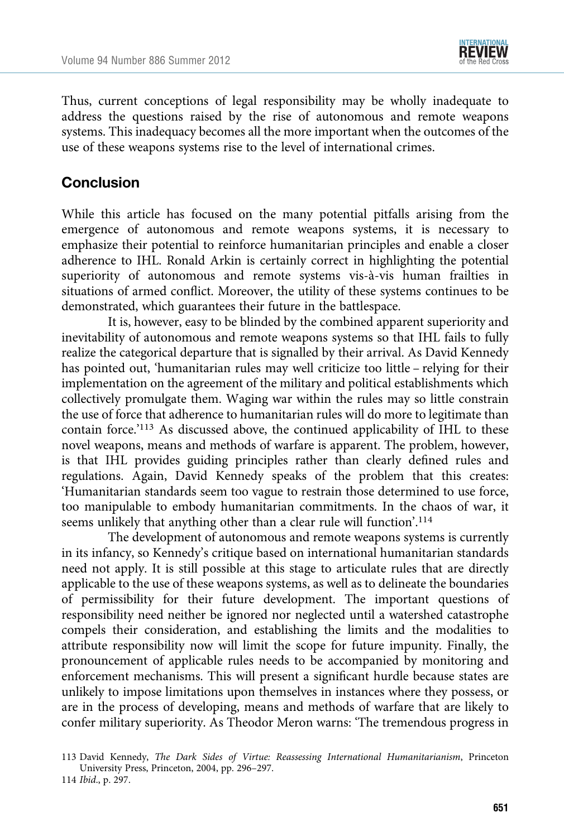

Thus, current conceptions of legal responsibility may be wholly inadequate to address the questions raised by the rise of autonomous and remote weapons systems. This inadequacy becomes all the more important when the outcomes of the use of these weapons systems rise to the level of international crimes.

## **Conclusion**

While this article has focused on the many potential pitfalls arising from the emergence of autonomous and remote weapons systems, it is necessary to emphasize their potential to reinforce humanitarian principles and enable a closer adherence to IHL. Ronald Arkin is certainly correct in highlighting the potential superiority of autonomous and remote systems vis-à-vis human frailties in situations of armed conflict. Moreover, the utility of these systems continues to be demonstrated, which guarantees their future in the battlespace.

It is, however, easy to be blinded by the combined apparent superiority and inevitability of autonomous and remote weapons systems so that IHL fails to fully realize the categorical departure that is signalled by their arrival. As David Kennedy has pointed out, 'humanitarian rules may well criticize too little – relying for their implementation on the agreement of the military and political establishments which collectively promulgate them. Waging war within the rules may so little constrain the use of force that adherence to humanitarian rules will do more to legitimate than contain force.' <sup>113</sup> As discussed above, the continued applicability of IHL to these novel weapons, means and methods of warfare is apparent. The problem, however, is that IHL provides guiding principles rather than clearly defined rules and regulations. Again, David Kennedy speaks of the problem that this creates: 'Humanitarian standards seem too vague to restrain those determined to use force, too manipulable to embody humanitarian commitments. In the chaos of war, it seems unlikely that anything other than a clear rule will function'.<sup>114</sup>

The development of autonomous and remote weapons systems is currently in its infancy, so Kennedy's critique based on international humanitarian standards need not apply. It is still possible at this stage to articulate rules that are directly applicable to the use of these weapons systems, as well as to delineate the boundaries of permissibility for their future development. The important questions of responsibility need neither be ignored nor neglected until a watershed catastrophe compels their consideration, and establishing the limits and the modalities to attribute responsibility now will limit the scope for future impunity. Finally, the pronouncement of applicable rules needs to be accompanied by monitoring and enforcement mechanisms. This will present a significant hurdle because states are unlikely to impose limitations upon themselves in instances where they possess, or are in the process of developing, means and methods of warfare that are likely to confer military superiority. As Theodor Meron warns: 'The tremendous progress in

<sup>113</sup> David Kennedy, The Dark Sides of Virtue: Reassessing International Humanitarianism, Princeton University Press, Princeton, 2004, pp. 296–297. 114 Ibid., p. 297.